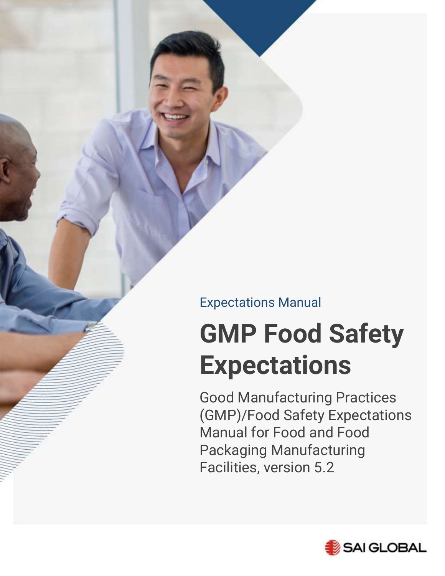Expectations Manual

# **GMP Food Safety Expectations**

Good Manufacturing Practices (GMP)/Food Safety Expectations Manual for Food and Food Packaging Manufacturing Facilities, version 5.2

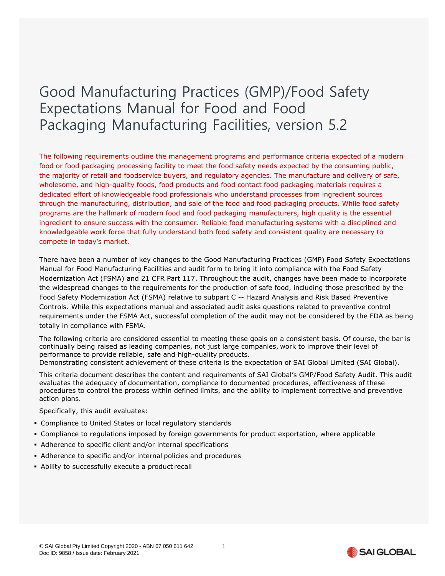# Good Manufacturing Practices (GMP)/Food Safety Expectations Manual for Food and Food Packaging Manufacturing Facilities, version 5.2

The following requirements outline the management programs and performance criteria expected of a modern food or food packaging processing facility to meet the food safety needs expected by the consuming public, the majority of retail and foodservice buyers, and regulatory agencies. The manufacture and delivery of safe, wholesome, and high-quality foods, food products and food contact food packaging materials requires a dedicated effort of knowledgeable food professionals who understand processes from ingredient sources through the manufacturing, distribution, and sale of the food and food packaging products. While food safety programs are the hallmark of modern food and food packaging manufacturers, high quality is the essential ingredient to ensure success with the consumer. Reliable food manufacturing systems with a disciplined and knowledgeable work force that fully understand both food safety and consistent quality are necessary to compete in today's market.

There have been a number of key changes to the Good Manufacturing Practices (GMP) Food Safety Expectations Manual for Food Manufacturing Facilities and audit form to bring it into compliance with the Food Safety Modernization Act (FSMA) and 21 CFR Part 117. Throughout the audit, changes have been made to incorporate the widespread changes to the requirements for the production of safe food, including those prescribed by the Food Safety Modernization Act (FSMA) relative to subpart C -- Hazard Analysis and Risk Based Preventive Controls. While this expectations manual and associated audit asks questions related to preventive control requirements under the FSMA Act, successful completion of the audit may not be considered by the FDA as being totally in compliance with FSMA.

The following criteria are considered essential to meeting these goals on a consistent basis. Of course, the bar is continually being raised as leading companies, not just large companies, work to improve their level of performance to provide reliable, safe and high-quality products. Demonstrating consistent achievement of these criteria is the expectation of SAI Global Limited (SAI Global).

This criteria document describes the content and requirements of SAI Global's GMP/Food Safety Audit. This audit evaluates the adequacy of documentation, compliance to documented procedures, effectiveness of these procedures to control the process within defined limits, and the ability to implement corrective and preventive action plans.

Specifically, this audit evaluates:

- Compliance to United States or local regulatory standards
- Compliance to regulations imposed by foreign governments for product exportation, where applicable
- Adherence to specific client and/or internal specifications
- Adherence to specific and/or internal policies and procedures
- **Ability to successfully execute a product recall**

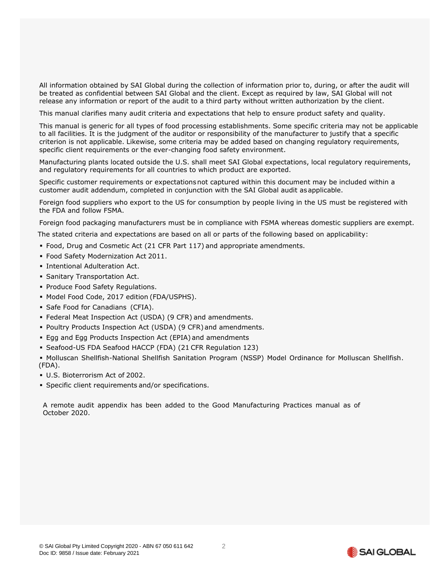All information obtained by SAI Global during the collection of information prior to, during, or after the audit will be treated as confidential between SAI Global and the client. Except as required by law, SAI Global will not release any information or report of the audit to a third party without written authorization by the client.

This manual clarifies many audit criteria and expectations that help to ensure product safety and quality.

This manual is generic for all types of food processing establishments. Some specific criteria may not be applicable to all facilities. It is the judgment of the auditor or responsibility of the manufacturer to justify that a specific criterion is not applicable. Likewise, some criteria may be added based on changing regulatory requirements, specific client requirements or the ever-changing food safety environment.

Manufacturing plants located outside the U.S. shall meet SAI Global expectations, local regulatory requirements, and regulatory requirements for all countries to which product are exported.

Specific customer requirements or expectationsnot captured within this document may be included within a customer audit addendum, completed in conjunction with the SAI Global audit asapplicable.

Foreign food suppliers who export to the US for consumption by people living in the US must be registered with the FDA and follow FSMA.

Foreign food packaging manufacturers must be in compliance with FSMA whereas domestic suppliers are exempt.

The stated criteria and expectations are based on all or parts of the following based on applicability:

- Food, Drug and Cosmetic Act (21 CFR Part 117) and appropriate amendments.
- Food Safety Modernization Act 2011.
- Intentional Adulteration Act.
- **Sanitary Transportation Act.**
- **Produce Food Safety Regulations.**
- Model Food Code, 2017 edition (FDA/USPHS).
- Safe Food for Canadians (CFIA).
- Federal Meat Inspection Act (USDA) (9 CFR) and amendments.
- Poultry Products Inspection Act (USDA) (9 CFR)and amendments.
- Egg and Egg Products Inspection Act (EPIA) and amendments
- Seafood-US FDA Seafood HACCP (FDA) (21 CFR Regulation 123)

▪ Molluscan Shellfish-National Shellfish Sanitation Program (NSSP) Model Ordinance for Molluscan Shellfish. (FDA).

- U.S. Bioterrorism Act of 2002.
- **·** Specific client requirements and/or specifications.

A remote audit appendix has been added to the Good Manufacturing Practices manual as of October 2020.

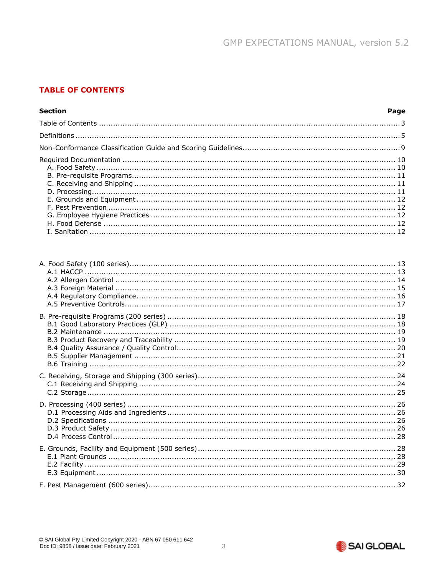# <span id="page-3-0"></span>**TABLE OF CONTENTS**

#### **Section** Page

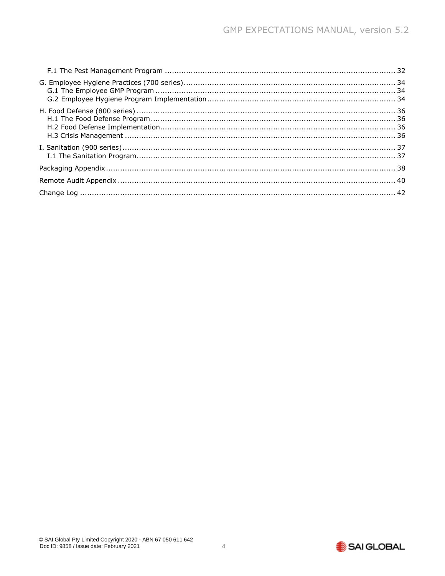<span id="page-4-0"></span>

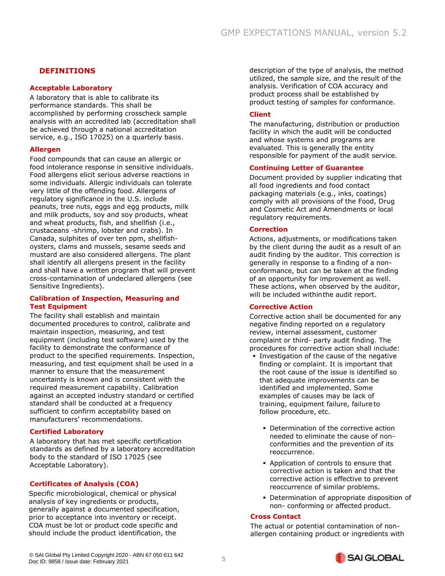#### **DEFINITIONS**

#### **Acceptable Laboratory**

A laboratory that is able to calibrate its performance standards. This shall be accomplished by performing crosscheck sample analysis with an accredited lab (accreditation shall be achieved through a national accreditation service, e.g., ISO 17025) on a quarterly basis.

#### **Allergen**

Food compounds that can cause an allergic or food intolerance response in sensitive individuals. Food allergens elicit serious adverse reactions in some individuals. Allergic individuals can tolerate very little of the offending food. Allergens of regulatory significance in the U.S. include peanuts, tree nuts, eggs and egg products, milk and milk products, soy and soy products, wheat and wheat products, fish, and shellfish (i.e., crustaceans -shrimp, lobster and crabs). In Canada, sulphites of over ten ppm, shellfishoysters, clams and mussels, sesame seeds and mustard are also considered allergens. The plant shall identify all allergens present in the facility and shall have a written program that will prevent cross-contamination of undeclared allergens (see Sensitive Ingredients).

#### **Calibration of Inspection, Measuring and Test Equipment**

The facility shall establish and maintain documented procedures to control, calibrate and maintain inspection, measuring, and test equipment (including test software) used by the facility to demonstrate the conformance of product to the specified requirements. Inspection, measuring, and test equipment shall be used in a manner to ensure that the measurement uncertainty is known and is consistent with the required measurement capability. Calibration against an accepted industry standard or certified standard shall be conducted at a frequency sufficient to confirm acceptability based on manufacturers' recommendations.

#### **Certified Laboratory**

A laboratory that has met specific certification standards as defined by a laboratory accreditation body to the standard of ISO 17025 (see Acceptable Laboratory).

# **Certificates of Analysis (COA)**

Specific microbiological, chemical or physical analysis of key ingredients or products, generally against a documented specification, prior to acceptance into inventory or receipt. COA must be lot or product code specific and should include the product identification, the

description of the type of analysis, the method utilized, the sample size, and the result of the analysis. Verification of COA accuracy and product process shall be established by product testing of samples for conformance.

#### **Client**

The manufacturing, distribution or production facility in which the audit will be conducted and whose systems and programs are evaluated. This is generally the entity responsible for payment of the audit service.

#### **Continuing Letter of Guarantee**

Document provided by supplier indicating that all food ingredients and food contact packaging materials (e.g., inks, coatings) comply with all provisions of the Food, Drug and Cosmetic Act and Amendments or local regulatory requirements.

#### **Correction**

Actions, adjustments, or modifications taken by the client during the audit as a result of an audit finding by the auditor. This correction is generally in response to a finding of a nonconformance, but can be taken at the finding of an opportunity for improvement as well. These actions, when observed by the auditor, will be included withinthe audit report.

#### **Corrective Action**

Corrective action shall be documented for any negative finding reported on a regulatory review, internal assessment, customer complaint or third- party audit finding. The procedures for corrective action shall include:

- **.** Investigation of the cause of the negative finding or complaint. It is important that the root cause of the issue is identified so that adequate improvements can be identified and implemented. Some examples of causes may be lack of training, equipment failure, failure to follow procedure, etc.
	- **Determination of the corrective action** needed to eliminate the cause of nonconformities and the prevention of its reoccurrence.
	- **Application of controls to ensure that** corrective action is taken and that the corrective action is effective to prevent reoccurrence of similar problems.
	- **Determination of appropriate disposition of** non- conforming or affected product.

#### **Cross Contact**

The actual or potential contamination of nonallergen containing product or ingredients with

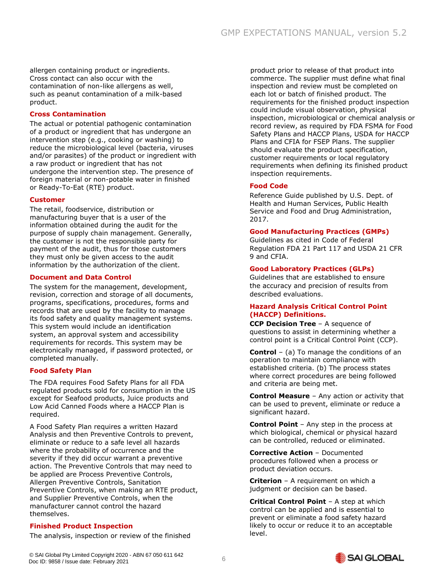allergen containing product or ingredients. Cross contact can also occur with the contamination of non-like allergens as well, such as peanut contamination of a milk-based product.

#### **Cross Contamination**

The actual or potential pathogenic contamination of a product or ingredient that has undergone an intervention step (e.g., cooking or washing) to reduce the microbiological level (bacteria, viruses and/or parasites) of the product or ingredient with a raw product or ingredient that has not undergone the intervention step. The presence of foreign material or non-potable water in finished or Ready-To-Eat (RTE) product.

#### **Customer**

The retail, foodservice, distribution or manufacturing buyer that is a user of the information obtained during the audit for the purpose of supply chain management. Generally, the customer is not the responsible party for payment of the audit, thus for those customers they must only be given access to the audit information by the authorization of the client.

#### **Document and Data Control**

The system for the management, development, revision, correction and storage of all documents, programs, specifications, procedures, forms and records that are used by the facility to manage its food safety and quality management systems. This system would include an identification system, an approval system and accessibility requirements for records. This system may be electronically managed, if password protected, or completed manually.

#### **Food Safety Plan**

The FDA requires Food Safety Plans for all FDA regulated products sold for consumption in the US except for Seafood products, Juice products and Low Acid Canned Foods where a HACCP Plan is required.

A Food Safety Plan requires a written Hazard Analysis and then Preventive Controls to prevent, eliminate or reduce to a safe level all hazards where the probability of occurrence and the severity if they did occur warrant a preventive action. The Preventive Controls that may need to be applied are Process Preventive Controls, Allergen Preventive Controls, Sanitation Preventive Controls, when making an RTE product, and Supplier Preventive Controls, when the manufacturer cannot control the hazard themselves.

#### **Finished Product Inspection**

The analysis, inspection or review of the finished

product prior to release of that product into commerce. The supplier must define what final inspection and review must be completed on each lot or batch of finished product. The requirements for the finished product inspection could include visual observation, physical inspection, microbiological or chemical analysis or record review, as required by FDA FSMA for Food Safety Plans and HACCP Plans, USDA for HACCP Plans and CFIA for FSEP Plans. The supplier should evaluate the product specification, customer requirements or local regulatory requirements when defining its finished product inspection requirements.

#### **Food Code**

Reference Guide published by U.S. Dept. of Health and Human Services, Public Health Service and Food and Drug Administration, 2017.

#### **Good Manufacturing Practices (GMPs)**

Guidelines as cited in Code of Federal Regulation FDA 21 Part 117 and USDA 21 CFR 9 and CFIA.

#### **Good Laboratory Practices (GLPs)**

Guidelines that are established to ensure the accuracy and precision of results from described evaluations.

#### **Hazard Analysis Critical Control Point (HACCP) Definitions.**

**CCP Decision Tree** – A sequence of questions to assist in determining whether a control point is a Critical Control Point (CCP).

**Control** – (a) To manage the conditions of an operation to maintain compliance with established criteria. (b) The process states where correct procedures are being followed and criteria are being met.

**Control Measure** – Any action or activity that can be used to prevent, eliminate or reduce a significant hazard.

**Control Point** – Any step in the process at which biological, chemical or physical hazard can be controlled, reduced or eliminated.

**Corrective Action** – Documented procedures followed when a process or product deviation occurs.

**Criterion** – A requirement on which a judgment or decision can be based.

**Critical Control Point** – A step at which control can be applied and is essential to prevent or eliminate a food safety hazard likely to occur or reduce it to an acceptable level.

© SAI Global Pty Limited Copyright 2020 - ABN 67 050 611 642 Doc ID: 9858 / Issue date: February 2021

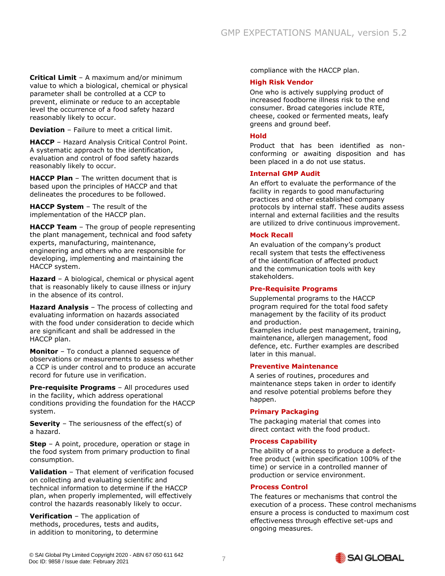**Critical Limit** – A maximum and/or minimum value to which a biological, chemical or physical parameter shall be controlled at a CCP to prevent, eliminate or reduce to an acceptable level the occurrence of a food safety hazard reasonably likely to occur.

**Deviation** – Failure to meet a critical limit.

**HACCP** – Hazard Analysis Critical Control Point. A systematic approach to the identification, evaluation and control of food safety hazards reasonably likely to occur.

**HACCP Plan** – The written document that is based upon the principles of HACCP and that delineates the procedures to be followed.

**HACCP System** – The result of the implementation of the HACCP plan.

**HACCP Team** – The group of people representing the plant management, technical and food safety experts, manufacturing, maintenance, engineering and others who are responsible for developing, implementing and maintaining the HACCP system.

**Hazard** – A biological, chemical or physical agent that is reasonably likely to cause illness or injury in the absence of its control.

**Hazard Analysis** – The process of collecting and evaluating information on hazards associated with the food under consideration to decide which are significant and shall be addressed in the HACCP plan.

**Monitor** – To conduct a planned sequence of observations or measurements to assess whether a CCP is under control and to produce an accurate record for future use in verification.

**Pre-requisite Programs** – All procedures used in the facility, which address operational conditions providing the foundation for the HACCP system.

**Severity** – The seriousness of the effect(s) of a hazard.

**Step** – A point, procedure, operation or stage in the food system from primary production to final consumption.

**Validation** – That element of verification focused on collecting and evaluating scientific and technical information to determine if the HACCP plan, when properly implemented, will effectively control the hazards reasonably likely to occur.

**Verification** – The application of methods, procedures, tests and audits, in addition to monitoring, to determine

compliance with the HACCP plan.

#### **High Risk Vendor**

One who is actively supplying product of increased foodborne illness risk to the end consumer. Broad categories include RTE, cheese, cooked or fermented meats, leafy greens and ground beef.

#### **Hold**

Product that has been identified as nonconforming or awaiting disposition and has been placed in a do not use status.

#### **Internal GMP Audit**

An effort to evaluate the performance of the facility in regards to good manufacturing practices and other established company protocols by internal staff. These audits assess internal and external facilities and the results are utilized to drive continuous improvement.

#### **Mock Recall**

An evaluation of the company's product recall system that tests the effectiveness of the identification of affected product and the communication tools with key stakeholders.

#### **Pre-Requisite Programs**

Supplemental programs to the HACCP program required for the total food safety management by the facility of its product and production.

Examples include pest management, training, maintenance, allergen management, food defence, etc. Further examples are described later in this manual.

#### **Preventive Maintenance**

A series of routines, procedures and maintenance steps taken in order to identify and resolve potential problems before they happen.

#### **Primary Packaging**

The packaging material that comes into direct contact with the food product.

#### **Process Capability**

The ability of a process to produce a defectfree product (within specification 100% of the time) or service in a controlled manner of production or service environment.

#### **Process Control**

The features or mechanisms that control the execution of a process. These control mechanisms ensure a process is conducted to maximum cost effectiveness through effective set-ups and ongoing measures.

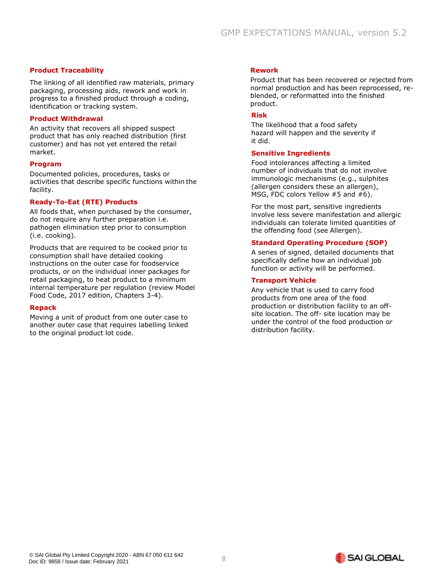#### **Product Traceability**

The linking of all identified raw materials, primary packaging, processing aids, rework and work in progress to a finished product through a coding, identification or tracking system.

#### **Product Withdrawal**

An activity that recovers all shipped suspect product that has only reached distribution (first customer) and has not yet entered the retail market.

#### **Program**

Documented policies, procedures, tasks or activities that describe specific functions within the facility.

#### **Ready-To-Eat (RTE) Products**

All foods that, when purchased by the consumer, do not require any further preparation i.e. pathogen elimination step prior to consumption (i.e. cooking).

Products that are required to be cooked prior to consumption shall have detailed cooking instructions on the outer case for foodservice products, or on the individual inner packages for retail packaging, to heat product to a minimum internal temperature per regulation (review Model Food Code, 2017 edition, Chapters 3-4).

#### **Repack**

<span id="page-8-0"></span>Moving a unit of product from one outer case to another outer case that requires labelling linked to the original product lot code.

#### **Rework**

Product that has been recovered or rejected from normal production and has been reprocessed, reblended, or reformatted into the finished product.

#### **Risk**

The likelihood that a food safety hazard will happen and the severity if it did.

#### **Sensitive Ingredients**

Food intolerances affecting a limited number of individuals that do not involve immunologic mechanisms (e.g., sulphites (allergen considers these an allergen), MSG, FDC colors Yellow #5 and #6).

For the most part, sensitive ingredients involve less severe manifestation and allergic individuals can tolerate limited quantities of the offending food (see Allergen).

#### **Standard Operating Procedure (SOP)**

A series of signed, detailed documents that specifically define how an individual job function or activity will be performed.

#### **Transport Vehicle**

Any vehicle that is used to carry food products from one area of the food production or distribution facility to an offsite location. The off- site location may be under the control of the food production or distribution facility.

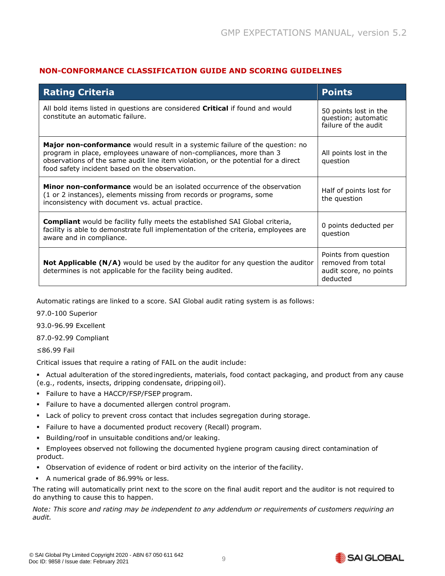# **NON-CONFORMANCE CLASSIFICATION GUIDE AND SCORING GUIDELINES**

| <b>Rating Criteria</b>                                                                                                                                                                                                                                                                     | <b>Points</b>                                                                    |
|--------------------------------------------------------------------------------------------------------------------------------------------------------------------------------------------------------------------------------------------------------------------------------------------|----------------------------------------------------------------------------------|
| All bold items listed in questions are considered <b>Critical</b> if found and would<br>constitute an automatic failure.                                                                                                                                                                   | 50 points lost in the<br>question; automatic<br>failure of the audit             |
| Major non-conformance would result in a systemic failure of the question: no<br>program in place, employees unaware of non-compliances, more than 3<br>observations of the same audit line item violation, or the potential for a direct<br>food safety incident based on the observation. | All points lost in the<br>question                                               |
| <b>Minor non-conformance</b> would be an isolated occurrence of the observation<br>(1 or 2 instances), elements missing from records or programs, some<br>inconsistency with document vs. actual practice.                                                                                 | Half of points lost for<br>the question                                          |
| <b>Compliant</b> would be facility fully meets the established SAI Global criteria,<br>facility is able to demonstrate full implementation of the criteria, employees are<br>aware and in compliance.                                                                                      | 0 points deducted per<br>question                                                |
| <b>Not Applicable (N/A)</b> would be used by the auditor for any question the auditor<br>determines is not applicable for the facility being audited.                                                                                                                                      | Points from question<br>removed from total<br>audit score, no points<br>deducted |

Automatic ratings are linked to a score. SAI Global audit rating system is as follows:

97.0-100 Superior

93.0-96.99 Excellent

87.0-92.99 Compliant

≤86.99 Fail

Critical issues that require a rating of FAIL on the audit include:

▪ Actual adulteration of the storedingredients, materials, food contact packaging, and product from any cause (e.g., rodents, insects, dripping condensate, dripping oil).

- **·** Failure to have a HACCP/FSP/FSEP program.
- Failure to have a documented allergen control program.
- Lack of policy to prevent cross contact that includes segregation during storage.
- Failure to have a documented product recovery (Recall) program.
- Building/roof in unsuitable conditions and/or leaking.
- Employees observed not following the documented hygiene program causing direct contamination of product.
- Observation of evidence of rodent or bird activity on the interior of the facility.
- A numerical grade of 86.99% or less.

The rating will automatically print next to the score on the final audit report and the auditor is not required to do anything to cause this to happen.

*Note: This score and rating may be independent to any addendum or requirements of customers requiring an audit.*

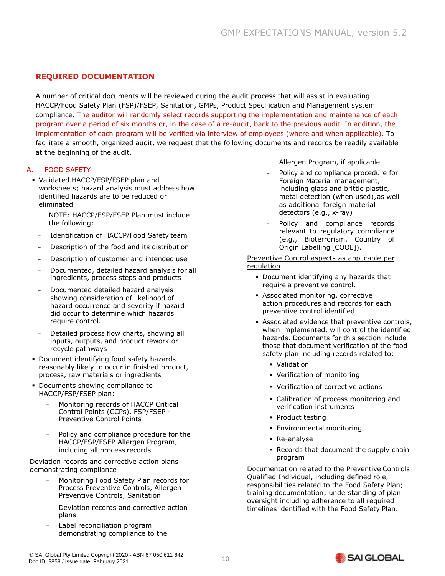# <span id="page-10-0"></span>**REQUIRED DOCUMENTATION**

A number of critical documents will be reviewed during the audit process that will assist in evaluating HACCP/Food Safety Plan (FSP)/FSEP, Sanitation, GMPs, Product Specification and Management system compliance. The auditor will randomly select records supporting the implementation and maintenance of each program over a period of six months or, in the case of a re-audit, back to the previous audit. In addition, the implementation of each program will be verified via interview of employees (where and when applicable). To facilitate a smooth, organized audit, we request that the following documents and records be readily available at the beginning of the audit.

#### A. FOOD SAFETY

▪ Validated HACCP/FSP/FSEP plan and worksheets; hazard analysis must address how identified hazards are to be reduced or eliminated

NOTE: HACCP/FSP/FSEP Plan must include the following:

- Identification of HACCP/Food Safety team
- Description of the food and its distribution
- Description of customer and intended use
- Documented, detailed hazard analysis for all ingredients, process steps and products
- Documented detailed hazard analysis showing consideration of likelihood of hazard occurrence and severity if hazard did occur to determine which hazards require control.
- Detailed process flow charts, showing all inputs, outputs, and product rework or recycle pathways
- Document identifying food safety hazards reasonably likely to occur in finished product, process, raw materials or ingredients
- Documents showing compliance to HACCP/FSP/FSEP plan:
	- Monitoring records of HACCP Critical Control Points (CCPs), FSP/FSEP - Preventive Control Points
	- Policy and compliance procedure for the HACCP/FSP/FSEP Allergen Program, including all process records

Deviation records and corrective action plans demonstrating compliance

- Monitoring Food Safety Plan records for Process Preventive Controls, Allergen Preventive Controls, Sanitation
- Deviation records and corrective action plans.
- Label reconciliation program demonstrating compliance to the
- Allergen Program, if applicable
- Policy and compliance procedure for Foreign Material management, including glass and brittle plastic, metal detection (when used),as well as additional foreign material detectors (e.g., x-ray)
- Policy and compliance records relevant to regulatory compliance (e.g., Bioterrorism, Country of Origin Labelling [COOL]).

Preventive Control aspects as applicable per regulation

- Document identifying any hazards that require a preventive control.
- Associated monitoring, corrective action procedures and records for each preventive control identified.
- **EXECUTE:** Associated evidence that preventive controls, when implemented, will control the identified hazards. Documents for this section include those that document verification of the food safety plan including records related to:
	- Validation
	- Verification of monitoring
	- Verification of corrective actions
	- Calibration of process monitoring and verification instruments
	- Product testing
	- **Environmental monitoring**
	- Re-analyse
	- Records that document the supply chain program

Documentation related to the Preventive Controls Qualified Individual, including defined role, responsibilities related to the Food Safety Plan; training documentation; understanding of plan oversight including adherence to all required timelines identified with the Food Safety Plan.

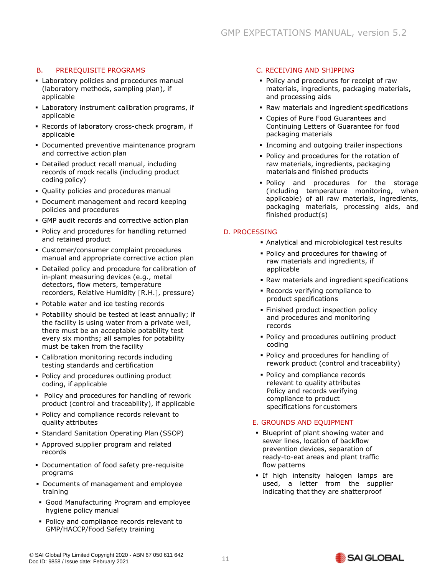# B. PREREQUISITE PROGRAMS

- **EXECUTE:** Laboratory policies and procedures manual (laboratory methods, sampling plan), if applicable
- **EX Laboratory instrument calibration programs, if** applicable
- Records of laboratory cross-check program, if applicable
- **Documented preventive maintenance program** and corrective action plan
- **Detailed product recall manual, including** records of mock recalls (including product coding policy)
- Quality policies and procedures manual
- **Document management and record keeping** policies and procedures
- **GMP audit records and corrective action plan**
- Policy and procedures for handling returned and retained product
- Customer/consumer complaint procedures manual and appropriate corrective action plan
- **Detailed policy and procedure for calibration of** in-plant measuring devices (e.g., metal detectors, flow meters, temperature recorders, Relative Humidity [R.H.], pressure)
- **Potable water and ice testing records**
- Potability should be tested at least annually; if the facility is using water from a private well, there must be an acceptable potability test every six months; all samples for potability must be taken from the facility
- Calibration monitoring records including testing standards and certification
- Policy and procedures outlining product coding, if applicable
- Policy and procedures for handling of rework product (control and traceability), if applicable
- Policy and compliance records relevant to quality attributes
- **Standard Sanitation Operating Plan (SSOP)**
- Approved supplier program and related records
- Documentation of food safety pre-requisite programs
- Documents of management and employee training
- Good Manufacturing Program and employee hygiene policy manual
- Policy and compliance records relevant to GMP/HACCP/Food Safety training

# C. RECEIVING AND SHIPPING

- Policy and procedures for receipt of raw materials, ingredients, packaging materials, and processing aids
- Raw materials and ingredient specifications
- Copies of Pure Food Guarantees and Continuing Letters of Guarantee for food packaging materials
- **Incoming and outgoing trailer inspections**
- Policy and procedures for the rotation of raw materials, ingredients, packaging materials and finished products
- Policy and procedures for the storage (including temperature monitoring, when applicable) of all raw materials, ingredients, packaging materials, processing aids, and finished product(s)

#### D. PROCESSING

- Analytical and microbiological test results
- Policy and procedures for thawing of raw materials and ingredients, if applicable
- Raw materials and ingredient specifications
- Records verifying compliance to product specifications
- **Finished product inspection policy** and procedures and monitoring records
- Policy and procedures outlining product coding
- Policy and procedures for handling of rework product (control and traceability)
- Policy and compliance records relevant to quality attributes Policy and records verifying compliance to product specifications for customers

#### E. GROUNDS AND EQUIPMENT

- Blueprint of plant showing water and sewer lines, location of backflow prevention devices, separation of ready-to-eat areas and plant traffic flow patterns
- **.** If high intensity halogen lamps are used, a letter from the supplier indicating that they are shatterproof

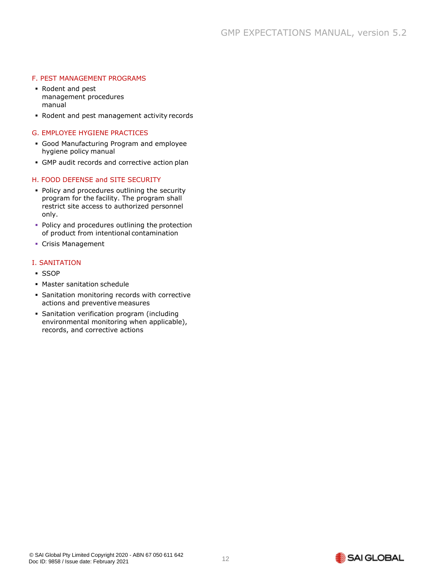#### F. PEST MANAGEMENT PROGRAMS

- Rodent and pest management procedures manual
- Rodent and pest management activity records

#### G. EMPLOYEE HYGIENE PRACTICES

- Good Manufacturing Program and employee hygiene policy manual
- GMP audit records and corrective action plan

#### H. FOOD DEFENSE and SITE SECURITY

- Policy and procedures outlining the security program for the facility. The program shall restrict site access to authorized personnel only.
- **Policy and procedures outlining the protection** of product from intentional contamination
- Crisis Management

#### I. SANITATION

- SSOP
- Master sanitation schedule
- **· Sanitation monitoring records with corrective** actions and preventive measures
- **Sanitation verification program (including** environmental monitoring when applicable), records, and corrective actions

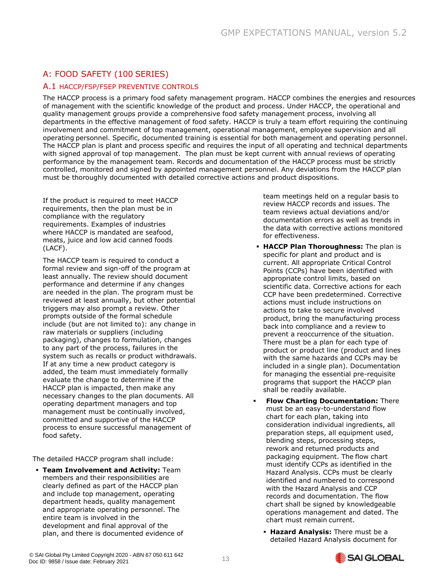# <span id="page-13-0"></span>A: FOOD SAFETY (100 SERIES)

# A.1 HACCP/FSP/FSEP PREVENTIVE CONTROLS

The HACCP process is a primary food safety management program. HACCP combines the energies and resources of management with the scientific knowledge of the product and process. Under HACCP, the operational and quality management groups provide a comprehensive food safety management process, involving all departments in the effective management of food safety. HACCP is truly a team effort requiring the continuing involvement and commitment of top management, operational management, employee supervision and all operating personnel. Specific, documented training is essential for both management and operating personnel. The HACCP plan is plant and process specific and requires the input of all operating and technical departments with signed approval of top management. The plan must be kept current with annual reviews of operating performance by the management team. Records and documentation of the HACCP process must be strictly controlled, monitored and signed by appointed management personnel. Any deviations from the HACCP plan must be thoroughly documented with detailed corrective actions and product dispositions.

If the product is required to meet HACCP requirements, then the plan must be in compliance with the regulatory requirements. Examples of industries where HACCP is mandated are seafood, meats, juice and low acid canned foods (LACF).

The HACCP team is required to conduct a formal review and sign-off of the program at least annually. The review should document performance and determine if any changes are needed in the plan. The program must be reviewed at least annually, but other potential triggers may also prompt a review. Other prompts outside of the formal schedule include (but are not limited to): any change in raw materials or suppliers (including packaging), changes to formulation, changes to any part of the process, failures in the system such as recalls or product withdrawals. If at any time a new product category is added, the team must immediately formally evaluate the change to determine if the HACCP plan is impacted, then make any necessary changes to the plan documents. All operating department managers and top management must be continually involved, committed and supportive of the HACCP process to ensure successful management of food safety.

The detailed HACCP program shall include:

▪ **Team Involvement and Activity:** Team members and their responsibilities are clearly defined as part of the HACCP plan and include top management, operating department heads, quality management and appropriate operating personnel. The entire team is involved in the development and final approval of the plan, and there is documented evidence of team meetings held on a regular basis to review HACCP records and issues. The team reviews actual deviations and/or documentation errors as well as trends in the data with corrective actions monitored for effectiveness.

- **HACCP Plan Thoroughness:** The plan is specific for plant and product and is current. All appropriate Critical Control Points (CCPs) have been identified with appropriate control limits, based on scientific data. Corrective actions for each CCP have been predetermined. Corrective actions must include instructions on actions to take to secure involved product, bring the manufacturing process back into compliance and a review to prevent a reoccurrence of the situation. There must be a plan for each type of product or product line (product and lines with the same hazards and CCPs may be included in a single plan). Documentation for managing the essential pre-requisite programs that support the HACCP plan shall be readily available.
- **Flow Charting Documentation: There** must be an easy-to-understand flow chart for each plan, taking into consideration individual ingredients, all preparation steps, all equipment used, blending steps, processing steps, rework and returned products and packaging equipment. The flow chart must identify CCPs as identified in the Hazard Analysis. CCPs must be clearly identified and numbered to correspond with the Hazard Analysis and CCP records and documentation. The flow chart shall be signed by knowledgeable operations management and dated. The chart must remain current.
	- **Hazard Analysis:** There must be a detailed Hazard Analysis document for

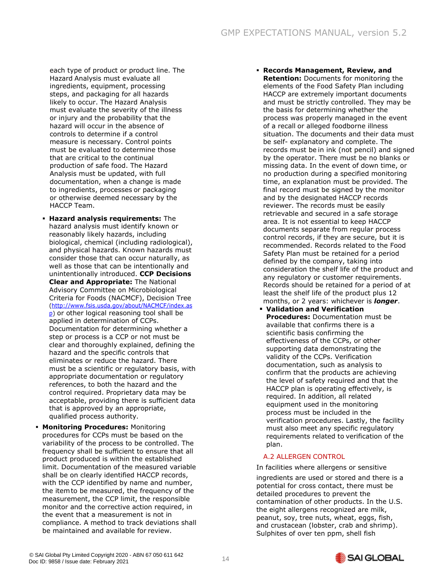each type of product or product line. The Hazard Analysis must evaluate all ingredients, equipment, processing steps, and packaging for all hazards likely to occur. The Hazard Analysis must evaluate the severity of the illness or injury and the probability that the hazard will occur in the absence of controls to determine if a control measure is necessary. Control points must be evaluated to determine those that are critical to the continual production of safe food. The Hazard Analysis must be updated, with full documentation, when a change is made to ingredients, processes or packaging or otherwise deemed necessary by the HACCP Team.

- **Hazard analysis requirements:** The hazard analysis must identify known or reasonably likely hazards, including biological, chemical (including radiological), and physical hazards. Known hazards must consider those that can occur naturally, as well as those that can be intentionally and unintentionally introduced. **CCP Decisions Clear and Appropriate:** The National Advisory Committee on Microbiological Criteria for Foods (NACMCF), Decision Tree [\(http://www.fsis.usda.gov/about/NACMCF/index.as](http://www.fsis.usda.gov/about/NACMCF/index.asp) [p\)](http://www.fsis.usda.gov/about/NACMCF/index.asp) or other logical reasoning tool shall be applied in determination of CCPs. Documentation for determining whether a step or process is a CCP or not must be clear and thoroughly explained, defining the hazard and the specific controls that eliminates or reduce the hazard. There must be a scientific or regulatory basis, with appropriate documentation or regulatory references, to both the hazard and the control required. Proprietary data may be acceptable, providing there is sufficient data that is approved by an appropriate, qualified process authority.
- **Monitoring Procedures:** Monitoring procedures for CCPs must be based on the variability of the process to be controlled. The frequency shall be sufficient to ensure that all product produced is within the established limit. Documentation of the measured variable shall be on clearly identified HACCP records, with the CCP identified by name and number, the itemto be measured, the frequency of the measurement, the CCP limit, the responsible monitor and the corrective action required, in the event that a measurement is not in compliance. A method to track deviations shall be maintained and available for review.
- **Records Management, Review, and Retention:** Documents for monitoring the elements of the Food Safety Plan including HACCP are extremely important documents and must be strictly controlled. They may be the basis for determining whether the process was properly managed in the event of a recall or alleged foodborne illness situation. The documents and their data must be self- explanatory and complete. The records must be in ink (not pencil) and signed by the operator. There must be no blanks or missing data. In the event of down time, or no production during a specified monitoring time, an explanation must be provided. The final record must be signed by the monitor and by the designated HACCP records reviewer. The records must be easily retrievable and secured in a safe storage area. It is not essential to keep HACCP documents separate from regular process control records, if they are secure, but it is recommended. Records related to the Food Safety Plan must be retained for a period defined by the company, taking into consideration the shelf life of the product and any regulatory or customer requirements. Records should be retained for a period of at least the shelf life of the product plus 12 months, or 2 years: whichever is *longer*.
- **Validation and Verification Procedures:** Documentation must be available that confirms there is a scientific basis confirming the effectiveness of the CCPs, or other supporting data demonstrating the validity of the CCPs. Verification documentation, such as analysis to confirm that the products are achieving the level of safety required and that the HACCP plan is operating effectively, is required. In addition, all related equipment used in the monitoring process must be included in the verification procedures. Lastly, the facility must also meet any specific regulatory requirements related to verification of the plan.

#### A.2 ALLERGEN CONTROL

In facilities where allergens or sensitive

ingredients are used or stored and there is a potential for cross contact, there must be detailed procedures to prevent the contamination of other products. In the U.S. the eight allergens recognized are milk, peanut, soy, tree nuts, wheat, eggs, fish, and crustacean (lobster, crab and shrimp). Sulphites of over ten ppm, shell fish

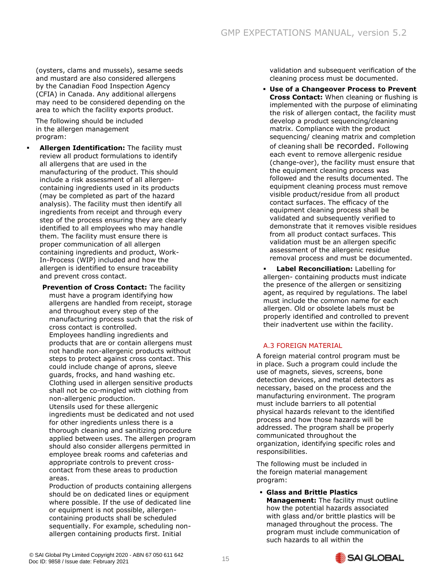(oysters, clams and mussels), sesame seeds and mustard are also considered allergens by the Canadian Food Inspection Agency (CFIA) in Canada. Any additional allergens may need to be considered depending on the area to which the facility exports product.

The following should be included in the allergen management program:

**Allergen Identification:** The facility must review all product formulations to identify all allergens that are used in the manufacturing of the product. This should include a risk assessment of all allergencontaining ingredients used in its products (may be completed as part of the hazard analysis). The facility must then identify all ingredients from receipt and through every step of the process ensuring they are clearly identified to all employees who may handle them. The facility must ensure there is proper communication of all allergen containing ingredients and product, Work-In-Process (WIP) included and how the allergen is identified to ensure traceability and prevent cross contact.

**Prevention of Cross Contact:** The facility must have a program identifying how allergens are handled from receipt, storage and throughout every step of the manufacturing process such that the risk of cross contact is controlled. Employees handling ingredients and products that are or contain allergens must not handle non-allergenic products without steps to protect against cross contact. This could include change of aprons, sleeve guards, frocks, and hand washing etc. Clothing used in allergen sensitive products shall not be co-mingled with clothing from non-allergenic production. Utensils used for these allergenic ingredients must be dedicated and not used for other ingredients unless there is a thorough cleaning and sanitizing procedure applied between uses. The allergen program should also consider allergens permitted in employee break rooms and cafeterias and

appropriate controls to prevent crosscontact from these areas to production areas.

Production of products containing allergens should be on dedicated lines or equipment where possible. If the use of dedicated line or equipment is not possible, allergencontaining products shall be scheduled sequentially. For example, scheduling nonallergen containing products first. Initial

validation and subsequent verification of the cleaning process must be documented.

▪ **Use of a Changeover Process to Prevent Cross Contact:** When cleaning or flushing is implemented with the purpose of eliminating the risk of allergen contact, the facility must develop a product sequencing/cleaning matrix. Compliance with the product sequencing/ cleaning matrix and completion of cleaning shall be recorded. Following each event to remove allergenic residue (change-over), the facility must ensure that the equipment cleaning process was followed and the results documented. The equipment cleaning process must remove visible product/residue from all product contact surfaces. The efficacy of the equipment cleaning process shall be validated and subsequently verified to demonstrate that it removes visible residues from all product contact surfaces. This validation must be an allergen specific assessment of the allergenic residue removal process and must be documented.

**Label Reconciliation:** Labelling for allergen- containing products must indicate the presence of the allergen or sensitizing agent, as required by regulations. The label must include the common name for each allergen. Old or obsolete labels must be properly identified and controlled to prevent their inadvertent use within the facility.

# A.3 FOREIGN MATERIAL

A foreign material control program must be in place. Such a program could include the use of magnets, sieves, screens, bone detection devices, and metal detectors as necessary, based on the process and the manufacturing environment. The program must include barriers to all potential physical hazards relevant to the identified process and how those hazards will be addressed. The program shall be properly communicated throughout the organization, identifying specific roles and responsibilities.

The following must be included in the foreign material management program:

▪ **Glass and Brittle Plastics Management:** The facility must outline how the potential hazards associated with glass and/or brittle plastics will be managed throughout the process. The program must include communication of such hazards to all within the

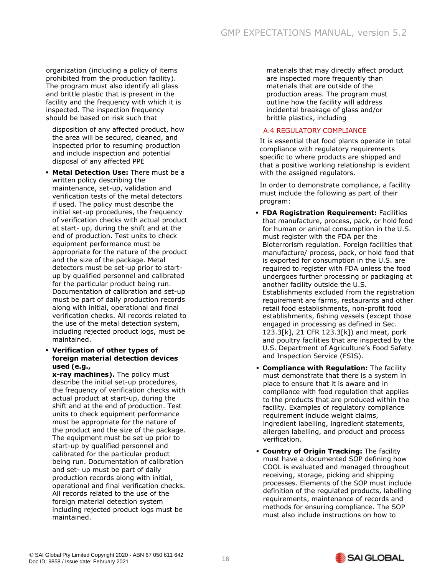organization (including a policy of items prohibited from the production facility). The program must also identify all glass and brittle plastic that is present in the facility and the frequency with which it is inspected. The inspection frequency should be based on risk such that

disposition of any affected product, how the area will be secured, cleaned, and inspected prior to resuming production and include inspection and potential disposal of any affected PPE

- **Metal Detection Use:** There must be a written policy describing the maintenance, set-up, validation and verification tests of the metal detectors if used. The policy must describe the initial set-up procedures, the frequency of verification checks with actual product at start- up, during the shift and at the end of production. Test units to check equipment performance must be appropriate for the nature of the product and the size of the package. Metal detectors must be set-up prior to startup by qualified personnel and calibrated for the particular product being run. Documentation of calibration and set-up must be part of daily production records along with initial, operational and final verification checks. All records related to the use of the metal detection system, including rejected product logs, must be maintained.
- **Verification of other types of foreign material detection devices used (e.g.,**

**x-ray machines).** The policy must describe the initial set-up procedures, the frequency of verification checks with actual product at start-up, during the shift and at the end of production. Test units to check equipment performance must be appropriate for the nature of the product and the size of the package. The equipment must be set up prior to start-up by qualified personnel and calibrated for the particular product being run. Documentation of calibration and set- up must be part of daily production records along with initial, operational and final verification checks. All records related to the use of the foreign material detection system including rejected product logs must be maintained.

materials that may directly affect product are inspected more frequently than materials that are outside of the production areas. The program must outline how the facility will address incidental breakage of glass and/or brittle plastics, including

#### A.4 REGULATORY COMPLIANCE

It is essential that food plants operate in total compliance with regulatory requirements specific to where products are shipped and that a positive working relationship is evident with the assigned regulators.

In order to demonstrate compliance, a facility must include the following as part of their program:

- **FDA Registration Requirement:** Facilities that manufacture, process, pack, or hold food for human or animal consumption in the U.S. must register with the FDA per the Bioterrorism regulation. Foreign facilities that manufacture/ process, pack, or hold food that is exported for consumption in the U.S. are required to register with FDA unless the food undergoes further processing or packaging at another facility outside the U.S. Establishments excluded from the registration requirement are farms, restaurants and other retail food establishments, non-profit food establishments, fishing vessels (except those engaged in processing as defined in Sec. 123.3[k], 21 CFR 123.3[k]) and meat, pork and poultry facilities that are inspected by the U.S. Department of Agriculture's Food Safety and Inspection Service (FSIS).
- **Compliance with Regulation:** The facility must demonstrate that there is a system in place to ensure that it is aware and in compliance with food regulation that applies to the products that are produced within the facility. Examples of regulatory compliance requirement include weight claims, ingredient labelling, ingredient statements, allergen labelling, and product and process verification.
- **Country of Origin Tracking:** The facility must have a documented SOP defining how COOL is evaluated and managed throughout receiving, storage, picking and shipping processes. Elements of the SOP must include definition of the regulated products, labelling requirements, maintenance of records and methods for ensuring compliance. The SOP must also include instructions on how to

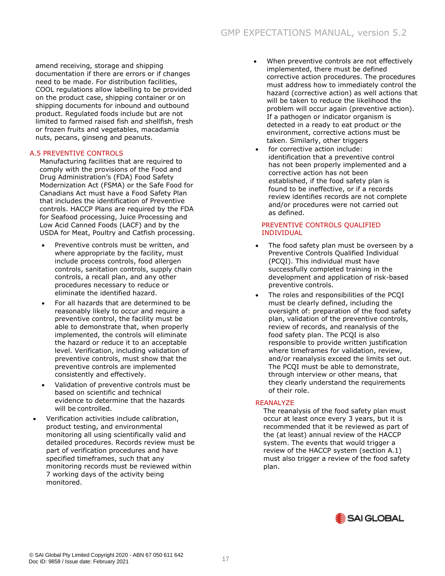amend receiving, storage and shipping documentation if there are errors or if changes need to be made. For distribution facilities, COOL regulations allow labelling to be provided on the product case, shipping container or on shipping documents for inbound and outbound product. Regulated foods include but are not limited to farmed raised fish and shellfish, fresh or frozen fruits and vegetables, macadamia nuts, pecans, ginseng and peanuts.

#### A.5 PREVENTIVE CONTROLS

Manufacturing facilities that are required to comply with the provisions of the Food and Drug Administration's (FDA) Food Safety Modernization Act (FSMA) or the Safe Food for Canadians Act must have a Food Safety Plan that includes the identification of Preventive controls. HACCP Plans are required by the FDA for Seafood processing, Juice Processing and Low Acid Canned Foods (LACF) and by the USDA for Meat, Poultry and Catfish processing.

- Preventive controls must be written, and where appropriate by the facility, must include process controls, food allergen controls, sanitation controls, supply chain controls, a recall plan, and any other procedures necessary to reduce or eliminate the identified hazard.
- For all hazards that are determined to be reasonably likely to occur and require a preventive control, the facility must be able to demonstrate that, when properly implemented, the controls will eliminate the hazard or reduce it to an acceptable level. Verification, including validation of preventive controls, must show that the preventive controls are implemented consistently and effectively.
- Validation of preventive controls must be based on scientific and technical evidence to determine that the hazards will be controlled.
- Verification activities include calibration, product testing, and environmental monitoring all using scientifically valid and detailed procedures. Records review must be part of verification procedures and have specified timeframes, such that any monitoring records must be reviewed within 7 working days of the activity being monitored.
- When preventive controls are not effectively implemented, there must be defined corrective action procedures. The procedures must address how to immediately control the hazard (corrective action) as well actions that will be taken to reduce the likelihood the problem will occur again (preventive action). If a pathogen or indicator organism is detected in a ready to eat product or the environment, corrective actions must be taken. Similarly, other triggers
	- for corrective action include: identification that a preventive control has not been properly implemented and a corrective action has not been established, if the food safety plan is found to be ineffective, or if a records review identifies records are not complete and/or procedures were not carried out as defined.

#### PREVENTIVE CONTROLS QUALIFIED INDIVIDUAL

- The food safety plan must be overseen by a Preventive Controls Qualified Individual (PCQI). This individual must have successfully completed training in the development and application of risk-based preventive controls.
- The roles and responsibilities of the PCQI must be clearly defined, including the oversight of: preparation of the food safety plan, validation of the preventive controls, review of records, and reanalysis of the food safety plan. The PCQI is also responsible to provide written justification where timeframes for validation, review, and/or reanalysis exceed the limits set out. The PCQI must be able to demonstrate, through interview or other means, that they clearly understand the requirements of their role.

#### **REANALYZE**

The reanalysis of the food safety plan must occur at least once every 3 years, but it is recommended that it be reviewed as part of the (at least) annual review of the HACCP system. The events that would trigger a review of the HACCP system (section A.1) must also trigger a review of the food safety plan.

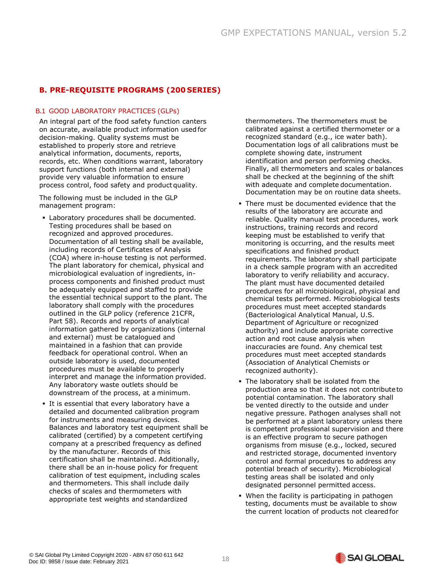# <span id="page-18-0"></span>**B. PRE-REQUISITE PROGRAMS (200 SERIES)**

#### B.1 GOOD LABORATORY PRACTICES (GLPs)

An integral part of the food safety function canters on accurate, available product information used for decision-making. Quality systems must be established to properly store and retrieve analytical information, documents, reports, records, etc. When conditions warrant, laboratory support functions (both internal and external) provide very valuable information to ensure process control, food safety and product quality.

The following must be included in the GLP management program:

- Laboratory procedures shall be documented. Testing procedures shall be based on recognized and approved procedures. Documentation of all testing shall be available, including records of Certificates of Analysis (COA) where in-house testing is not performed. The plant laboratory for chemical, physical and microbiological evaluation of ingredients, inprocess components and finished product must be adequately equipped and staffed to provide the essential technical support to the plant. The laboratory shall comply with the procedures outlined in the GLP policy (reference 21CFR, Part 58). Records and reports of analytical information gathered by organizations (internal and external) must be catalogued and maintained in a fashion that can provide feedback for operational control. When an outside laboratory is used, documented procedures must be available to properly interpret and manage the information provided. Any laboratory waste outlets should be downstream of the process, at a minimum.
- It is essential that every laboratory have a detailed and documented calibration program for instruments and measuring devices. Balances and laboratory test equipment shall be calibrated (certified) by a competent certifying company at a prescribed frequency as defined by the manufacturer. Records of this certification shall be maintained. Additionally, there shall be an in-house policy for frequent calibration of test equipment, including scales and thermometers. This shall include daily checks of scales and thermometers with appropriate test weights and standardized

thermometers. The thermometers must be calibrated against a certified thermometer or a recognized standard (e.g., ice water bath). Documentation logs of all calibrations must be complete showing date, instrument identification and person performing checks. Finally, all thermometers and scales or balances shall be checked at the beginning of the shift with adequate and complete documentation. Documentation may be on routine data sheets.

- There must be documented evidence that the results of the laboratory are accurate and reliable. Quality manual test procedures, work instructions, training records and record keeping must be established to verify that monitoring is occurring, and the results meet specifications and finished product requirements. The laboratory shall participate in a check sample program with an accredited laboratory to verify reliability and accuracy. The plant must have documented detailed procedures for all microbiological, physical and chemical tests performed. Microbiological tests procedures must meet accepted standards (Bacteriological Analytical Manual, U.S. Department of Agriculture or recognized authority) and include appropriate corrective action and root cause analysis when inaccuracies are found. Any chemical test procedures must meet accepted standards (Association of Analytical Chemists or recognized authority).
- **The laboratory shall be isolated from the** production area so that it does not contributeto potential contamination. The laboratory shall be vented directly to the outside and under negative pressure. Pathogen analyses shall not be performed at a plant laboratory unless there is competent professional supervision and there is an effective program to secure pathogen organisms from misuse (e.g., locked, secured and restricted storage, documented inventory control and formal procedures to address any potential breach of security). Microbiological testing areas shall be isolated and only designated personnel permitted access.
- . When the facility is participating in pathogen testing, documents must be available to show the current location of products not cleared for

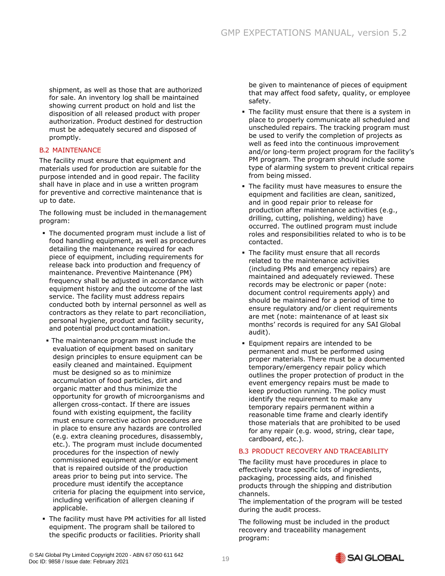shipment, as well as those that are authorized for sale. An inventory log shall be maintained showing current product on hold and list the disposition of all released product with proper authorization. Product destined for destruction must be adequately secured and disposed of promptly.

#### B.2 MAINTENANCE

The facility must ensure that equipment and materials used for production are suitable for the purpose intended and in good repair. The facility shall have in place and in use a written program for preventive and corrective maintenance that is up to date.

The following must be included in themanagement program:

- The documented program must include a list of food handling equipment, as well as procedures detailing the maintenance required for each piece of equipment, including requirements for release back into production and frequency of maintenance. Preventive Maintenance (PM) frequency shall be adjusted in accordance with equipment history and the outcome of the last service. The facility must address repairs conducted both by internal personnel as well as contractors as they relate to part reconciliation, personal hygiene, product and facility security, and potential product contamination.
- **The maintenance program must include the** evaluation of equipment based on sanitary design principles to ensure equipment can be easily cleaned and maintained. Equipment must be designed so as to minimize accumulation of food particles, dirt and organic matter and thus minimize the opportunity for growth of microorganisms and allergen cross-contact. If there are issues found with existing equipment, the facility must ensure corrective action procedures are in place to ensure any hazards are controlled (e.g. extra cleaning procedures, disassembly, etc.). The program must include documented procedures for the inspection of newly commissioned equipment and/or equipment that is repaired outside of the production areas prior to being put into service. The procedure must identify the acceptance criteria for placing the equipment into service, including verification of allergen cleaning if applicable.
- **The facility must have PM activities for all listed** equipment. The program shall be tailored to the specific products or facilities. Priority shall

be given to maintenance of pieces of equipment that may affect food safety, quality, or employee safety.

- **The facility must ensure that there is a system in** place to properly communicate all scheduled and unscheduled repairs. The tracking program must be used to verify the completion of projects as well as feed into the continuous improvement and/or long-term project program for the facility's PM program. The program should include some type of alarming system to prevent critical repairs from being missed.
- **The facility must have measures to ensure the** equipment and facilities are clean, sanitized, and in good repair prior to release for production after maintenance activities (e.g., drilling, cutting, polishing, welding) have occurred. The outlined program must include roles and responsibilities related to who is to be contacted.
- The facility must ensure that all records related to the maintenance activities (including PMs and emergency repairs) are maintained and adequately reviewed. These records may be electronic or paper (note: document control requirements apply) and should be maintained for a period of time to ensure regulatory and/or client requirements are met (note: maintenance of at least six months' records is required for any SAI Global audit).
- Equipment repairs are intended to be permanent and must be performed using proper materials. There must be a documented temporary/emergency repair policy which outlines the proper protection of product in the event emergency repairs must be made to keep production running. The policy must identify the requirement to make any temporary repairs permanent within a reasonable time frame and clearly identify those materials that are prohibited to be used for any repair (e.g. wood, string, clear tape, cardboard, etc.).

#### B.3 PRODUCT RECOVERY AND TRACEABILITY

The facility must have procedures in place to effectively trace specific lots of ingredients, packaging, processing aids, and finished products through the shipping and distribution channels.

The implementation of the program will be tested during the audit process.

The following must be included in the product recovery and traceability management program:

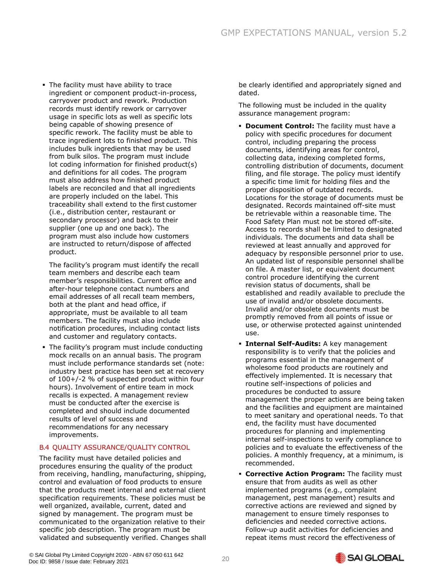**.** The facility must have ability to trace ingredient or component product-in-process, carryover product and rework. Production records must identify rework or carryover usage in specific lots as well as specific lots being capable of showing presence of specific rework. The facility must be able to trace ingredient lots to finished product. This includes bulk ingredients that may be used from bulk silos. The program must include lot coding information for finished product(s) and definitions for all codes. The program must also address how finished product labels are reconciled and that all ingredients are properly included on the label. This traceability shall extend to the first customer (i.e., distribution center, restaurant or secondary processor) and back to their supplier (one up and one back). The program must also include how customers are instructed to return/dispose of affected product.

The facility's program must identify the recall team members and describe each team member's responsibilities. Current office and after-hour telephone contact numbers and email addresses of all recall team members, both at the plant and head office, if appropriate, must be available to all team members. The facility must also include notification procedures, including contact lists and customer and regulatory contacts.

**The facility's program must include conducting** mock recalls on an annual basis. The program must include performance standards set (note: industry best practice has been set at recovery of 100+/-2 % of suspected product within four hours). Involvement of entire team in mock recalls is expected. A management review must be conducted after the exercise is completed and should include documented results of level of success and recommendations for any necessary improvements.

#### B.4 QUALITY ASSURANCE/QUALITY CONTROL

The facility must have detailed policies and procedures ensuring the quality of the product from receiving, handling, manufacturing, shipping, control and evaluation of food products to ensure that the products meet internal and external client specification requirements. These policies must be well organized, available, current, dated and signed by management. The program must be communicated to the organization relative to their specific job description. The program must be validated and subsequently verified. Changes shall be clearly identified and appropriately signed and dated.

The following must be included in the quality assurance management program:

- **Document Control:** The facility must have a policy with specific procedures for document control, including preparing the process documents, identifying areas for control, collecting data, indexing completed forms, controlling distribution of documents, document filing, and file storage. The policy must identify a specific time limit for holding files and the proper disposition of outdated records. Locations for the storage of documents must be designated. Records maintained off-site must be retrievable within a reasonable time. The Food Safety Plan must not be stored off-site. Access to records shall be limited to designated individuals. The documents and data shall be reviewed at least annually and approved for adequacy by responsible personnel prior to use. An updated list of responsible personnel shallbe on file. A master list, or equivalent document control procedure identifying the current revision status of documents, shall be established and readily available to preclude the use of invalid and/or obsolete documents. Invalid and/or obsolete documents must be promptly removed from all points of issue or use, or otherwise protected against unintended use.
- **· Internal Self-Audits:** A key management responsibility is to verify that the policies and programs essential in the management of wholesome food products are routinely and effectively implemented. It is necessary that routine self-inspections of policies and procedures be conducted to assure management the proper actions are being taken and the facilities and equipment are maintained to meet sanitary and operational needs. To that end, the facility must have documented procedures for planning and implementing internal self-inspections to verify compliance to policies and to evaluate the effectiveness of the policies. A monthly frequency, at a minimum, is recommended.
- **EXECT:** Corrective Action Program: The facility must ensure that from audits as well as other implemented programs (e.g., complaint management, pest management) results and corrective actions are reviewed and signed by management to ensure timely responses to deficiencies and needed corrective actions. Follow-up audit activities for deficiencies and repeat items must record the effectiveness of

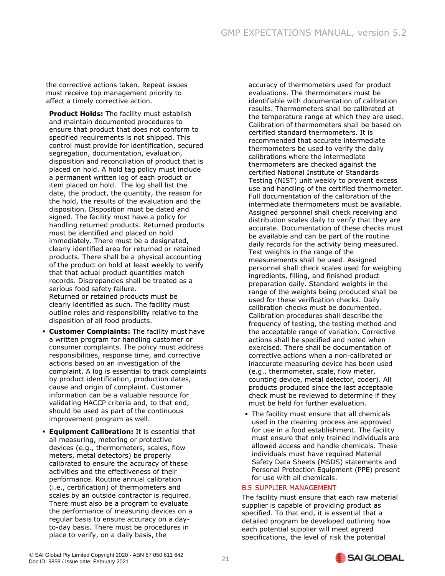the corrective actions taken. Repeat issues must receive top management priority to affect a timely corrective action.

**Product Holds:** The facility must establish and maintain documented procedures to ensure that product that does not conform to specified requirements is not shipped. This control must provide for identification, secured segregation, documentation, evaluation, disposition and reconciliation of product that is placed on hold. A hold tag policy must include a permanent written log of each product or item placed on hold. The log shall list the date, the product, the quantity, the reason for the hold, the results of the evaluation and the disposition. Disposition must be dated and signed. The facility must have a policy for handling returned products. Returned products must be identified and placed on hold immediately. There must be a designated, clearly identified area for returned or retained products. There shall be a physical accounting of the product on hold at least weekly to verify that that actual product quantities match records. Discrepancies shall be treated as a serious food safety failure. Returned or retained products must be clearly identified as such. The facility must outline roles and responsibility relative to the disposition of all food products.

- **Customer Complaints:** The facility must have a written program for handling customer or consumer complaints. The policy must address responsibilities, response time, and corrective actions based on an investigation of the complaint. A log is essential to track complaints by product identification, production dates, cause and origin of complaint. Customer information can be a valuable resource for validating HACCP criteria and, to that end, should be used as part of the continuous improvement program as well.
- **Equipment Calibration:** It is essential that all measuring, metering or protective devices (e.g., thermometers, scales, flow meters, metal detectors) be properly calibrated to ensure the accuracy of these activities and the effectiveness of their performance. Routine annual calibration (i.e., certification) of thermometers and scales by an outside contractor is required. There must also be a program to evaluate the performance of measuring devices on a regular basis to ensure accuracy on a dayto-day basis. There must be procedures in place to verify, on a daily basis, the

accuracy of thermometers used for product evaluations. The thermometers must be identifiable with documentation of calibration results. Thermometers shall be calibrated at the temperature range at which they are used. Calibration of thermometers shall be based on certified standard thermometers. It is recommended that accurate intermediate thermometers be used to verify the daily calibrations where the intermediate thermometers are checked against the certified National Institute of Standards Testing (NIST) unit weekly to prevent excess use and handling of the certified thermometer. Full documentation of the calibration of the intermediate thermometers must be available. Assigned personnel shall check receiving and distribution scales daily to verify that they are accurate. Documentation of these checks must be available and can be part of the routine daily records for the activity being measured. Test weights in the range of the measurements shall be used. Assigned personnel shall check scales used for weighing ingredients, filling, and finished product preparation daily. Standard weights in the range of the weights being produced shall be used for these verification checks. Daily calibration checks must be documented. Calibration procedures shall describe the frequency of testing, the testing method and the acceptable range of variation. Corrective actions shall be specified and noted when exercised. There shall be documentation of corrective actions when a non-calibrated or inaccurate measuring device has been used (e.g., thermometer, scale, flow meter, counting device, metal detector, coder). All products produced since the last acceptable check must be reviewed to determine if they must be held for further evaluation.

**• The facility must ensure that all chemicals** used in the cleaning process are approved for use in a food establishment. The facility must ensure that only trained individuals are allowed access and handle chemicals. These individuals must have required Material Safety Data Sheets (MSDS) statements and Personal Protection Equipment (PPE) present for use with all chemicals.

#### B.5 SUPPLIER MANAGEMENT

The facility must ensure that each raw material supplier is capable of providing product as specified. To that end, it is essential that a detailed program be developed outlining how each potential supplier will meet agreed specifications, the level of risk the potential

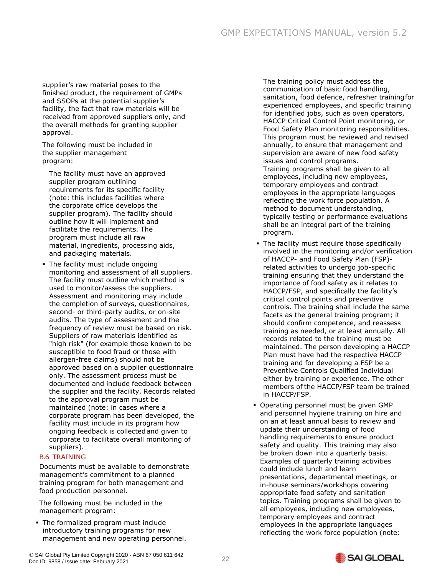supplier's raw material poses to the finished product, the requirement of GMPs and SSOPs at the potential supplier's facility, the fact that raw materials will be received from approved suppliers only, and the overall methods for granting supplier approval.

The following must be included in the supplier management program:

The facility must have an approved supplier program outlining requirements for its specific facility (note: this includes facilities where the corporate office develops the supplier program). The facility should outline how it will implement and facilitate the requirements. The program must include all raw material, ingredients, processing aids, and packaging materials.

**• The facility must include ongoing** monitoring and assessment of all suppliers. The facility must outline which method is used to monitor/assess the suppliers. Assessment and monitoring may include the completion of surveys, questionnaires, second- or third-party audits, or on-site audits. The type of assessment and the frequency of review must be based on risk. Suppliers of raw materials identified as "high risk" (for example those known to be susceptible to food fraud or those with allergen-free claims) should not be approved based on a supplier questionnaire only. The assessment process must be documented and include feedback between the supplier and the facility. Records related to the approval program must be maintained (note: in cases where a corporate program has been developed, the facility must include in its program how ongoing feedback is collectedand given to corporate to facilitate overall monitoring of suppliers).

#### B.6 TRAINING

Documents must be available to demonstrate management's commitment to a planned training program for both management and food production personnel.

The following must be included in the management program:

▪ The formalized program must include introductory training programs for new management and new operating personnel. The training policy must address the communication of basic food handling, sanitation, food defence, refresher trainingfor experienced employees, and specific training for identified jobs, such as oven operators, HACCP Critical Control Point monitoring, or Food Safety Plan monitoring responsibilities. This program must be reviewed and revised annually, to ensure that management and supervision are aware of new food safety issues and control programs. Training programs shall be given to all employees, including new employees, temporary employees and contract employees in the appropriate languages reflecting the work force population. A method to document understanding, typically testing or performance evaluations shall be an integral part of the training program.

- The facility must require those specifically involved in the monitoring and/or verification of HACCP- and Food Safety Plan (FSP) related activities to undergo job-specific training ensuring that they understand the importance of food safety as it relates to HACCP/FSP, and specifically the facility's critical control points and preventive controls. The training shall include the same facets as the general training program; it should confirm competence, and reassess training as needed, or at least annually. All records related to the training must be maintained. The person developing a HACCP Plan must have had the respective HACCP training and for developing a FSP be a Preventive Controls Qualified Individual either by training or experience. The other members of the HACCP/FSP team be trained in HACCP/FSP.
- Operating personnel must be given GMP and personnel hygiene training on hire and on an at least annual basis to review and update their understanding of food handling requirements to ensure product safety and quality. This training may also be broken down into a quarterly basis. Examples of quarterly training activities could include lunch and learn presentations, departmental meetings, or in-house seminars/workshops covering appropriate food safety and sanitation topics. Training programs shall be given to all employees, including new employees, temporary employees and contract employees in the appropriate languages reflecting the work force population (note:

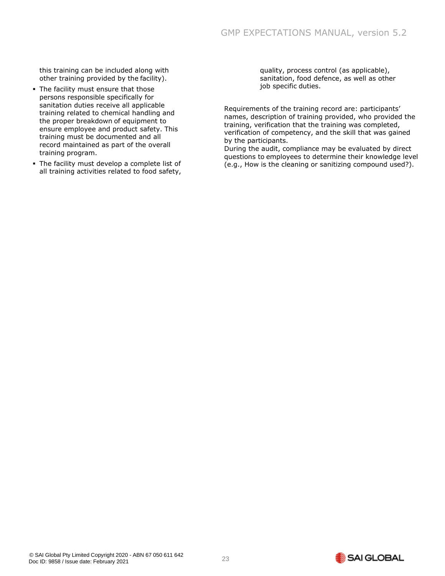this training can be included along with other training provided by the facility).

- **The facility must ensure that those** persons responsible specifically for sanitation duties receive all applicable training related to chemical handling and the proper breakdown of equipment to ensure employee and product safety. This training must be documented and all record maintained as part of the overall training program.
- <span id="page-23-0"></span>**• The facility must develop a complete list of** all training activities related to food safety,

quality, process control (as applicable), sanitation, food defence, as well as other job specific duties.

Requirements of the training record are: participants' names, description of training provided, who provided the training, verification that the training was completed, verification of competency, and the skill that was gained by the participants.

During the audit, compliance may be evaluated by direct questions to employees to determine their knowledge level (e.g., How is the cleaning or sanitizing compound used?).

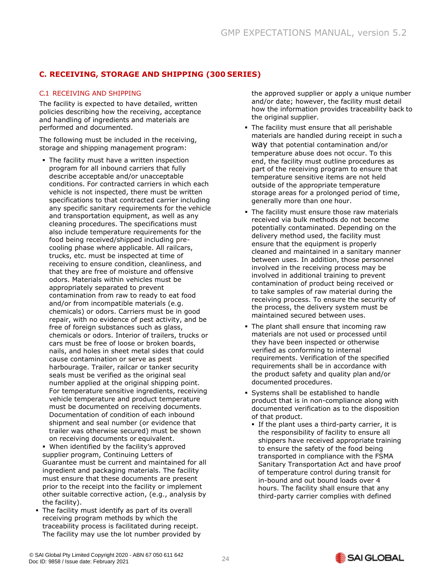# **C. RECEIVING, STORAGE AND SHIPPING (300 SERIES)**

#### C.1 RECEIVING AND SHIPPING

The facility is expected to have detailed, written policies describing how the receiving, acceptance and handling of ingredients and materials are performed and documented.

The following must be included in the receiving, storage and shipping management program:

- **The facility must have a written inspection** program for all inbound carriers that fully describe acceptable and/or unacceptable conditions. For contracted carriers in which each vehicle is not inspected, there must be written specifications to that contracted carrier including any specific sanitary requirements for the vehicle and transportation equipment, as well as any cleaning procedures. The specifications must also include temperature requirements for the food being received/shipped including precooling phase where applicable. All railcars, trucks, etc. must be inspected at time of receiving to ensure condition, cleanliness, and that they are free of moisture and offensive odors. Materials within vehicles must be appropriately separated to prevent contamination from raw to ready to eat food and/or from incompatible materials (e.g. chemicals) or odors. Carriers must be in good repair, with no evidence of pest activity, and be free of foreign substances such as glass, chemicals or odors. Interior of trailers, trucks or cars must be free of loose or broken boards, nails, and holes in sheet metal sides that could cause contamination or serve as pest harbourage. Trailer, railcar or tanker security seals must be verified as the original seal number applied at the original shipping point. For temperature sensitive ingredients, receiving vehicle temperature and product temperature must be documented on receiving documents. Documentation of condition of each inbound shipment and seal number (or evidence that trailer was otherwise secured) must be shown on receiving documents or equivalent.
- When identified by the facility's approved supplier program, Continuing Letters of Guarantee must be current and maintained for all ingredient and packaging materials. The facility must ensure that these documents are present prior to the receipt into the facility or implement other suitable corrective action, (e.g., analysis by the facility).
- **The facility must identify as part of its overall** receiving program methods by which the traceability process is facilitated during receipt. The facility may use the lot number provided by

the approved supplier or apply a unique number and/or date; however, the facility must detail how the information provides traceability back to the original supplier.

- **The facility must ensure that all perishable** materials are handled during receipt in such a way that potential contamination and/or temperature abuse does not occur. To this end, the facility must outline procedures as part of the receiving program to ensure that temperature sensitive items are not held outside of the appropriate temperature storage areas for a prolonged period of time, generally more than one hour.
- **The facility must ensure those raw materials** received via bulk methods do not become potentially contaminated. Depending on the delivery method used, the facility must ensure that the equipment is properly cleaned and maintained in a sanitary manner between uses. In addition, those personnel involved in the receiving process may be involved in additional training to prevent contamination of product being received or to take samples of raw material during the receiving process. To ensure the security of the process, the delivery system must be maintained secured between uses.
- The plant shall ensure that incoming raw materials are not used or processed until they have been inspected or otherwise verified as conforming to internal requirements. Verification of the specified requirements shall be in accordance with the product safety and quality plan and/or documented procedures.
- Systems shall be established to handle product that is in non-compliance along with documented verification as to the disposition of that product.
	- **.** If the plant uses a third-party carrier, it is the responsibility of facility to ensure all shippers have received appropriate training to ensure the safety of the food being transported in compliance with the FSMA Sanitary Transportation Act and have proof of temperature control during transit for in-bound and out bound loads over 4 hours. The facility shall ensure that any third-party carrier complies with defined

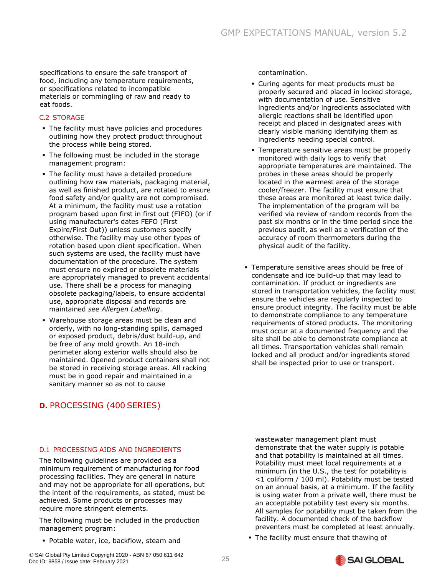specifications to ensure the safe transport of food, including any temperature requirements, or specifications related to incompatible materials or commingling of raw and ready to eat foods.

#### C.2 STORAGE

- **The facility must have policies and procedures** outlining how they protect product throughout the process while being stored.
- **The following must be included in the storage** management program:
- The facility must have a detailed procedure outlining how raw materials, packaging material, as well as finished product, are rotated to ensure food safety and/or quality are not compromised. At a minimum, the facility must use a rotation program based upon first in first out (FIFO) (or if using manufacturer's dates FEFO (First Expire/First Out)) unless customers specify otherwise. The facility may use other types of rotation based upon client specification. When such systems are used, the facility must have documentation of the procedure. The system must ensure no expired or obsolete materials are appropriately managed to prevent accidental use. There shall be a process for managing obsolete packaging/labels, to ensure accidental use, appropriate disposal and records are maintained *see Allergen Labelling*.
- Warehouse storage areas must be clean and orderly, with no long-standing spills, damaged or exposed product, debris/dust build-up, and be free of any mold growth. An 18-inch perimeter along exterior walls should also be maintained. Opened product containers shall not be stored in receiving storage areas. All racking must be in good repair and maintained in a sanitary manner so as not to cause

# <span id="page-25-0"></span>**D.** PROCESSING (400 SERIES)

contamination.

- Curing agents for meat products must be properly secured and placed in locked storage, with documentation of use. Sensitive ingredients and/or ingredients associated with allergic reactions shall be identified upon receipt and placed in designated areas with clearly visible marking identifying them as ingredients needing special control.
- **Temperature sensitive areas must be properly** monitored with daily logs to verify that appropriate temperatures are maintained. The probes in these areas should be properly located in the warmest area of the storage cooler/freezer. The facility must ensure that these areas are monitored at least twice daily. The implementation of the program will be verified via review of random records from the past six months or in the time period since the previous audit, as well as a verification of the accuracy of room thermometers during the physical audit of the facility.
- **Temperature sensitive areas should be free of** condensate and ice build-up that may lead to contamination. If product or ingredients are stored in transportation vehicles, the facility must ensure the vehicles are regularly inspected to ensure product integrity. The facility must be able to demonstrate compliance to any temperature requirements of stored products. The monitoring must occur at a documented frequency and the site shall be able to demonstrate compliance at all times. Transportation vehicles shall remain locked and all product and/or ingredients stored shall be inspected prior to use or transport.

#### D.1 PROCESSING AIDS AND INGREDIENTS

The following guidelines are provided as a minimum requirement of manufacturing for food processing facilities. They are general in nature and may not be appropriate for all operations, but the intent of the requirements, as stated, must be achieved. Some products or processes may require more stringent elements.

The following must be included in the production management program:

▪ Potable water, ice, backflow, steam and

wastewater management plant must demonstrate that the water supply is potable and that potability is maintained at all times. Potability must meet local requirements at a minimum (in the U.S., the test for potabilityis <1 coliform / 100 ml). Potability must be tested on an annual basis, at a minimum. If the facility is using water from a private well, there must be an acceptable potability test every six months. All samples for potability must be taken from the facility. A documented check of the backflow preventers must be completed at least annually.

**.** The facility must ensure that thawing of

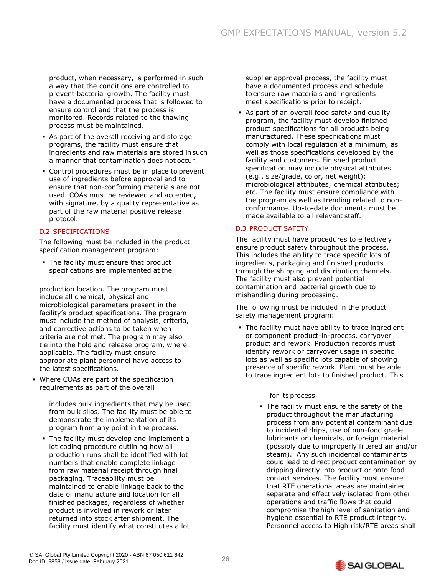product, when necessary, is performed in such a way that the conditions are controlled to prevent bacterial growth. The facility must have a documented process that is followed to ensure control and that the process is monitored. Records related to the thawing process must be maintained.

- As part of the overall receiving and storage programs, the facility must ensure that ingredients and raw materials are stored insuch a manner that contamination does not occur.
- **Control procedures must be in place to prevent** use of ingredients before approval and to ensure that non-conforming materials are not used. COAs must be reviewed and accepted, with signature, by a quality representative as part of the raw material positive release protocol.

#### D.2 SPECIFICATIONS

The following must be included in the product specification management program:

**• The facility must ensure that product** specifications are implemented at the

production location. The program must include all chemical, physical and microbiological parameters present in the facility's product specifications. The program must include the method of analysis, criteria, and corrective actions to be taken when criteria are not met. The program may also tie into the hold and release program, where applicable. The facility must ensure appropriate plant personnel have access to the latest specifications.

▪ Where COAs are part of the specification requirements as part of the overall

> includes bulk ingredients that may be used from bulk silos. The facility must be able to demonstrate the implementation of its program from any point in the process.

**• The facility must develop and implement a** lot coding procedure outlining how all production runs shall be identified with lot numbers that enable complete linkage from raw material receipt through final packaging. Traceability must be maintained to enable linkage back to the date of manufacture and location for all finished packages, regardless of whether product is involved in rework or later returned into stock after shipment. The facility must identify what constitutes a lot supplier approval process, the facility must have a documented process and schedule toensure raw materials and ingredients meet specifications prior to receipt.

**B** As part of an overall food safety and quality program, the facility must develop finished product specifications for all products being manufactured. These specifications must comply with local regulation at a minimum, as well as those specifications developed by the facility and customers. Finished product specification may include physical attributes (e.g., size/grade, color, net weight); microbiological attributes; chemical attributes; etc. The facility must ensure compliance with the program as well as trending related to nonconformance. Up-to-date documents must be made available to all relevant staff.

#### D.3 PRODUCT SAFETY

The facility must have procedures to effectively ensure product safety throughout the process. This includes the ability to trace specific lots of ingredients, packaging and finished products through the shipping and distribution channels. The facility must also prevent potential contamination and bacterial growth due to mishandling during processing.

The following must be included in the product safety management program:

**The facility must have ability to trace ingredient** or component product-in-process, carryover product and rework. Production records must identify rework or carryover usage in specific lots as well as specific lots capable of showing presence of specific rework. Plant must be able to trace ingredient lots to finished product. This

for its process.

**•** The facility must ensure the safety of the product throughout the manufacturing process from any potential contaminant due to incidental drips, use of non-food grade lubricants or chemicals, or foreign material (possibly due to improperly filtered air and/or steam). Any such incidental contaminants could lead to direct product contamination by dripping directly into product or onto food contact services. The facility must ensure that RTE operational areas are maintained separate and effectively isolated from other operations and traffic flows that could compromise thehigh level of sanitation and hygiene essential to RTE product integrity. Personnel access to High risk/RTE areas shall

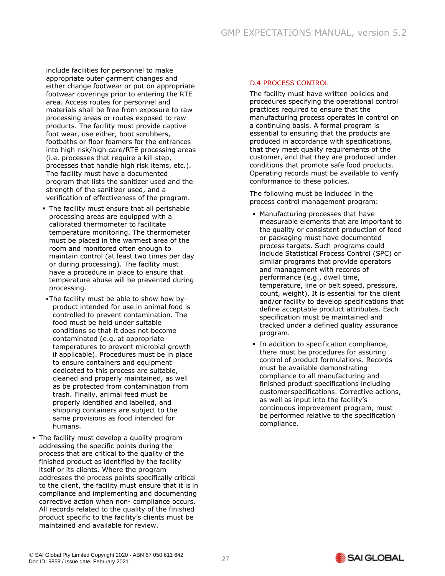include facilities for personnel to make appropriate outer garment changes and either change footwear or put on appropriate footwear coverings prior to entering the RTE area. Access routes for personnel and materials shall be free from exposure to raw processing areas or routes exposed to raw products. The facility must provide captive foot wear, use either, boot scrubbers, footbaths or floor foamers for the entrances into high risk/high care/RTE processing areas (i.e. processes that require a kill step, processes that handle high risk items, etc.). The facility must have a documented program that lists the sanitizer used and the strength of the sanitizer used, and a verification of effectiveness of the program.

- **The facility must ensure that all perishable** processing areas are equipped with a calibrated thermometer to facilitate temperature monitoring. The thermometer must be placed in the warmest area of the room and monitored often enough to maintain control (at least two times per day or during processing). The facility must have a procedure in place to ensure that temperature abuse will be prevented during processing.
- . The facility must be able to show how byproduct intended for use in animal food is controlled to prevent contamination. The food must be held under suitable conditions so that it does not become contaminated (e.g. at appropriate temperatures to prevent microbial growth if applicable). Procedures must be in place to ensure containers and equipment dedicated to this process are suitable, cleaned and properly maintained, as well as be protected from contamination from trash. Finally, animal feed must be properly identified and labelled, and shipping containers are subject to the same provisions as food intended for humans.
- The facility must develop a quality program addressing the specific points during the process that are critical to the quality of the finished product as identified by the facility itself or its clients. Where the program addresses the process points specifically critical to the client, the facility must ensure that it is in compliance and implementing and documenting corrective action when non- compliance occurs. All records related to the quality of the finished product specific to the facility's clients must be maintained and available for review.

#### D.4 PROCESS CONTROL

The facility must have written policies and procedures specifying the operational control practices required to ensure that the manufacturing process operates in control on a continuing basis. A formal program is essential to ensuring that the products are produced in accordance with specifications, that they meet quality requirements of the customer, and that they are produced under conditions that promote safe food products. Operating records must be available to verify conformance to these policies.

The following must be included in the process control management program:

- Manufacturing processes that have measurable elements that are important to the quality or consistent production of food or packaging must have documented process targets. Such programs could include Statistical Process Control (SPC) or similar programs that provide operators and management with records of performance (e.g., dwell time, temperature, line or belt speed, pressure, count, weight). It is essential for the client and/or facility to develop specifications that define acceptable product attributes. Each specification must be maintained and tracked under a defined quality assurance program.
- **·** In addition to specification compliance, there must be procedures for assuring control of product formulations. Records must be available demonstrating compliance to all manufacturing and finished product specifications including customerspecifications. Corrective actions, as well as input into the facility's continuous improvement program, must be performed relative to the specification compliance.

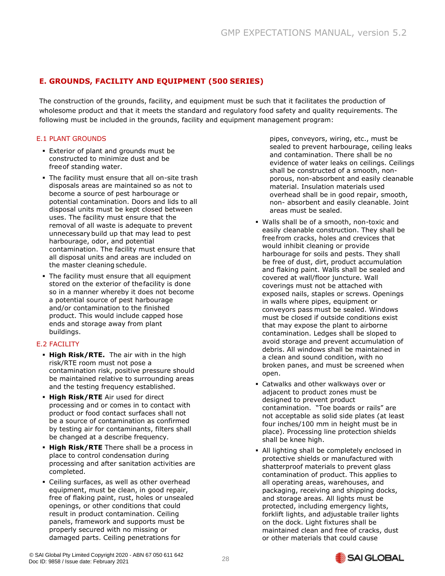# <span id="page-28-0"></span>**E. GROUNDS, FACILITY AND EQUIPMENT (500 SERIES)**

The construction of the grounds, facility, and equipment must be such that it facilitates the production of wholesome product and that it meets the standard and regulatory food safety and quality requirements. The following must be included in the grounds, facility and equipment management program:

#### **E.1 PLANT GROUNDS**

- Exterior of plant and grounds must be constructed to minimize dust and be freeof standing water.
- **.** The facility must ensure that all on-site trash disposals areas are maintained so as not to become a source of pest harbourage or potential contamination. Doors and lids to all disposal units must be kept closed between uses. The facility must ensure that the removal of all waste is adequate to prevent unnecessarybuild up that may lead to pest harbourage, odor, and potential contamination. The facility must ensure that all disposal units and areas are included on the master cleaning schedule.
- **The facility must ensure that all equipment** stored on the exterior of thefacility is done so in a manner whereby it does not become a potential source of pest harbourage and/or contamination to the finished product. This would include capped hose ends and storage away from plant buildings.

#### E.2 FACILITY

- **· High Risk/RTE.** The air with in the high risk/RTE room must not pose a contamination risk, positive pressure should be maintained relative to surrounding areas and the testing frequency established.
- **High Risk/RTE** Air used for direct processing and or comes in to contact with product or food contact surfaces shall not be a source of contamination as confirmed by testing air for contaminants, filters shall be changed at a describe frequency.
- **. High Risk/RTE** There shall be a process in place to control condensation during processing and after sanitation activities are completed.
- Ceiling surfaces, as well as other overhead equipment, must be clean, in good repair, free of flaking paint, rust, holes or unsealed openings, or other conditions that could result in product contamination. Ceiling panels, framework and supports must be properly secured with no missing or damaged parts. Ceiling penetrations for

pipes, conveyors, wiring, etc., must be sealed to prevent harbourage, ceiling leaks and contamination. There shall be no evidence of water leaks on ceilings. Ceilings shall be constructed of a smooth, nonporous, non-absorbent and easily cleanable material. Insulation materials used overhead shall be in good repair, smooth, non- absorbent and easily cleanable. Joint areas must be sealed.

- Walls shall be of a smooth, non-toxic and easily cleanable construction. They shall be freefrom cracks, holes and crevices that would inhibit cleaning or provide harbourage for soils and pests. They shall be free of dust, dirt, product accumulation and flaking paint. Walls shall be sealed and covered at wall/floor juncture. Wall coverings must not be attached with exposed nails, staples or screws. Openings in walls where pipes, equipment or conveyors pass must be sealed. Windows must be closed if outside conditions exist that may expose the plant to airborne contamination. Ledges shall be sloped to avoid storage and prevent accumulation of debris. All windows shall be maintained in a clean and sound condition, with no broken panes, and must be screened when open.
- Catwalks and other walkways over or adjacent to product zones must be designed to prevent product contamination. "Toe boards or rails" are not acceptable as solid side plates (at least four inches/100 mm in height must be in place). Processing line protection shields shall be knee high.
- All lighting shall be completely enclosed in protective shields or manufactured with shatterproof materials to prevent glass contamination of product. This applies to all operating areas, warehouses, and packaging, receiving and shipping docks, and storage areas. All lights must be protected, including emergency lights, forklift lights, and adjustable trailer lights on the dock. Light fixtures shall be maintained clean and free of cracks, dust or other materials that could cause

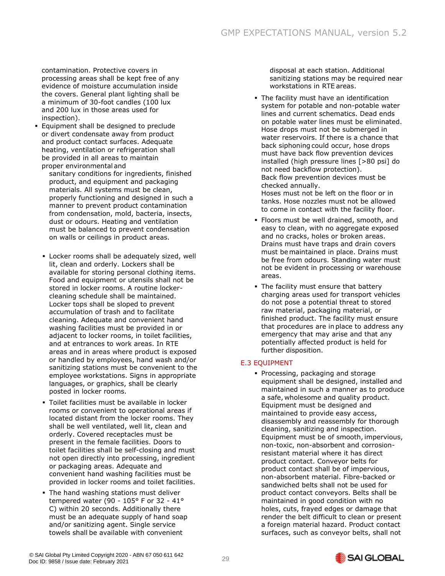contamination. Protective covers in processing areas shall be kept free of any evidence of moisture accumulation inside the covers. General plant lighting shall be a minimum of 30-foot candles (100 lux and 200 lux in those areas used for inspection).

- **Equipment shall be designed to preclude** or divert condensate away from product and product contact surfaces. Adequate heating, ventilation or refrigeration shall be provided in all areas to maintain proper environmental and
	- sanitary conditions for ingredients, finished product, and equipment and packaging materials. All systems must be clean, properly functioning and designed in such a manner to prevent product contamination from condensation, mold, bacteria, insects, dust or odours. Heating and ventilation must be balanced to prevent condensation on walls or ceilings in product areas.
	- **EXECT:** Locker rooms shall be adequately sized, well lit, clean and orderly. Lockers shall be available for storing personal clothing items. Food and equipment or utensils shall not be stored in locker rooms. A routine lockercleaning schedule shall be maintained. Locker tops shall be sloped to prevent accumulation of trash and to facilitate cleaning. Adequate and convenient hand washing facilities must be provided in or adjacent to locker rooms, in toilet facilities, and at entrances to work areas. In RTE areas and in areas where product is exposed or handled by employees, hand wash and/or sanitizing stations must be convenient to the employee workstations. Signs in appropriate languages, or graphics, shall be clearly posted in locker rooms.
	- **Toilet facilities must be available in locker** rooms or convenient to operational areas if located distant from the locker rooms. They shall be well ventilated, well lit, clean and orderly. Covered receptacles must be present in the female facilities. Doors to toilet facilities shall be self-closing and must not open directly into processing, ingredient or packaging areas. Adequate and convenient hand washing facilities must be provided in locker rooms and toilet facilities.
	- **The hand washing stations must deliver** tempered water (90 - 105° F or 32 - 41° C) within 20 seconds. Additionally there must be an adequate supply of hand soap and/or sanitizing agent. Single service towels shall be available with convenient

disposal at each station. Additional sanitizing stations may be required near workstations in RTE areas.

**• The facility must have an identification** system for potable and non-potable water lines and current schematics. Dead ends on potable water lines must be eliminated. Hose drops must not be submerged in water reservoirs. If there is a chance that back siphoning could occur, hose drops must have back flow prevention devices installed (high pressure lines [>80 psi] do not need backflow protection). Back flow prevention devices must be checked annually.

Hoses must not be left on the floor or in tanks. Hose nozzles must not be allowed to come in contact with the facility floor.

- Floors must be well drained, smooth, and easy to clean, with no aggregate exposed and no cracks, holes or broken areas. Drains must have traps and drain covers must be maintained in place. Drains must be free from odours. Standing water must not be evident in processing or warehouse areas.
- **The facility must ensure that battery** charging areas used for transport vehicles do not pose a potential threat to stored raw material, packaging material, or finished product. The facility must ensure that procedures are in place to address any emergency that may arise and that any potentially affected product is held for further disposition.

#### E.3 EQUIPMENT

▪ Processing, packaging and storage equipment shall be designed, installed and maintained in such a manner as to produce a safe, wholesome and quality product. Equipment must be designed and maintained to provide easy access, disassembly and reassembly for thorough cleaning, sanitizing and inspection. Equipment must be of smooth, impervious, non-toxic, non-absorbent and corrosionresistant material where it has direct product contact. Conveyor belts for product contact shall be of impervious, non-absorbent material. Fibre-backed or sandwiched belts shall not be used for product contact conveyors. Belts shall be maintained in good condition with no holes, cuts, frayed edges or damage that render the belt difficult to clean or present a foreign material hazard. Product contact surfaces, such as conveyor belts, shall not

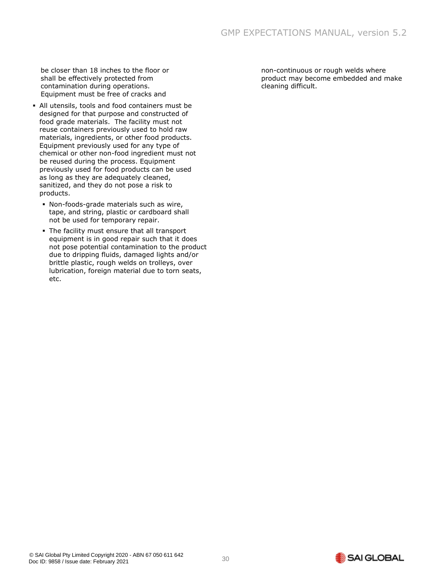be closer than 18 inches to the floor or shall be effectively protected from contamination during operations. Equipment must be free of cracks and

- All utensils, tools and food containers must be designed for that purpose and constructed of food grade materials. The facility must not reuse containers previously used to hold raw materials, ingredients, or other food products. Equipment previously used for any type of chemical or other non-food ingredient must not be reused during the process. Equipment previously used for food products can be used as long as they are adequately cleaned, sanitized, and they do not pose a risk to products.
	- Non-foods-grade materials such as wire, tape, and string, plastic or cardboard shall not be used for temporary repair.
	- The facility must ensure that all transport equipment is in good repair such that it does not pose potential contamination to the product due to dripping fluids, damaged lights and/or brittle plastic, rough welds on trolleys, over lubrication, foreign material due to torn seats, etc.

non-continuous or rough welds where product may become embedded and make cleaning difficult.

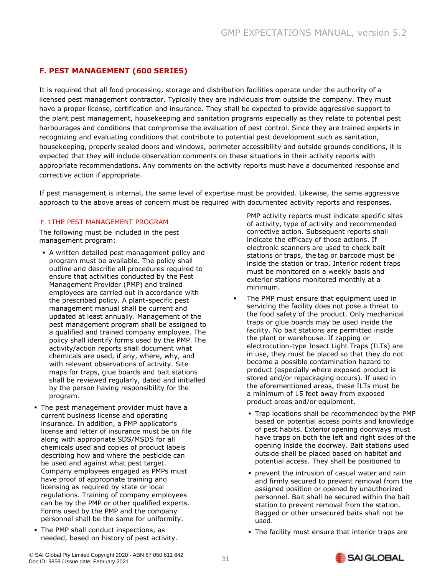# <span id="page-31-0"></span>**F. PEST MANAGEMENT (600 SERIES)**

It is required that all food processing, storage and distribution facilities operate under the authority of a licensed pest management contractor. Typically they are individuals from outside the company. They must have a proper license, certification and insurance. They shall be expected to provide aggressive support to the plant pest management, housekeeping and sanitation programs especially as they relate to potential pest harbourages and conditions that compromise the evaluation of pest control. Since they are trained experts in recognizing and evaluating conditions that contribute to potential pest development such as sanitation, housekeeping, properly sealed doors and windows, perimeter accessibility and outside grounds conditions, it is expected that they will include observation comments on these situations in their activity reports with appropriate recommendations**.** Any comments on the activity reports must have a documented response and corrective action if appropriate.

If pest management is internal, the same level of expertise must be provided. Likewise, the same aggressive approach to the above areas of concern must be required with documented activity reports and responses.

#### F.1THE PEST MANAGEMENT PROGRAM

The following must be included in the pest management program:

- A written detailed pest management policy and program must be available. The policy shall outline and describe all procedures required to ensure that activities conducted by the Pest Management Provider (PMP) and trained employees are carried out in accordance with the prescribed policy. A plant-specific pest management manual shall be current and updated at least annually. Management of the pest management program shall be assigned to a qualified and trained company employee. The policy shall identify forms used by the PMP. The activity/action reports shall document what chemicals are used, if any, where, why, and with relevant observations of activity. Site maps for traps, glue boards and bait stations shall be reviewed regularly, dated and initialled by the person having responsibility for the program.
- **·** The pest management provider must have a current business license and operating insurance. In addition, a PMP applicator's license and letter of insurance must be on file along with appropriate SDS/MSDS for all chemicals used and copies of product labels describing how and where the pesticide can be used and against what pest target. Company employees engaged as PMPs must have proof of appropriate training and licensing as required by state or local regulations. Training of company employees can be by the PMP or other qualified experts. Forms used by the PMP and the company personnel shall be the same for uniformity.
- **The PMP shall conduct inspections, as** needed, based on history of pest activity.

PMP activity reports must indicate specific sites of activity, type of activity and recommended corrective action. Subsequent reports shall indicate the efficacy of those actions. If electronic scanners are used to check bait stations or traps, the tag or barcode must be inside the station or trap. Interior rodent traps must be monitored on a weekly basis and exterior stations monitored monthly at a minimum.

- The PMP must ensure that equipment used in servicing the facility does not pose a threat to the food safety of the product. Only mechanical traps or glue boards may be used inside the facility. No bait stations are permitted inside the plant or warehouse. If zapping or electrocution-type Insect Light Traps (ILTs) are in use, they must be placed so that they do not become a possible contamination hazard to product (especially where exposed product is stored and/or repackaging occurs). If used in the aforementioned areas, these ILTs must be a minimum of 15 feet away from exposed product areas and/or equipment.
	- **.** Trap locations shall be recommended by the PMP based on potential access points and knowledge of pest habits. Exterior opening doorways must have traps on both the left and right sides of the opening inside the doorway. Bait stations used outside shall be placed based on habitat and potential access. They shall be positioned to
	- **prevent the intrusion of casual water and rain** and firmly secured to prevent removal from the assigned position or opened by unauthorized personnel. Bait shall be secured within the bait station to prevent removal from the station. Bagged or other unsecured baits shall not be used.
	- **.** The facility must ensure that interior traps are

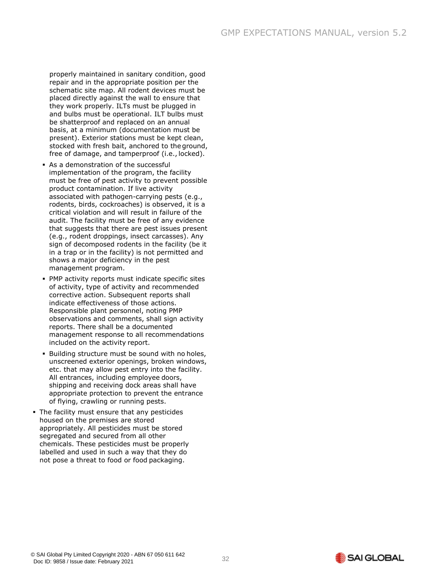properly maintained in sanitary condition, good repair and in the appropriate position per the schematic site map. All rodent devices must be placed directly against the wall to ensure that they work properly. ILTs must be plugged in and bulbs must be operational. ILT bulbs must be shatterproof and replaced on an annual basis, at a minimum (documentation must be present). Exterior stations must be kept clean, stocked with fresh bait, anchored to the ground, free of damage, and tamperproof (i.e., locked).

- As a demonstration of the successful implementation of the program, the facility must be free of pest activity to prevent possible product contamination. If live activity associated with pathogen-carrying pests (e.g., rodents, birds, cockroaches) is observed, it is a critical violation and will result in failure of the audit. The facility must be free of any evidence that suggests that there are pest issues present (e.g., rodent droppings, insect carcasses). Any sign of decomposed rodents in the facility (be it in a trap or in the facility) is not permitted and shows a major deficiency in the pest management program.
- **PMP activity reports must indicate specific sites** of activity, type of activity and recommended corrective action. Subsequent reports shall indicate effectiveness of those actions. Responsible plant personnel, noting PMP observations and comments, shall sign activity reports. There shall be a documented management response to all recommendations included on the activity report.
- **E** Building structure must be sound with no holes, unscreened exterior openings, broken windows, etc. that may allow pest entry into the facility. All entrances, including employee doors, shipping and receiving dock areas shall have appropriate protection to prevent the entrance of flying, crawling or running pests.
- **The facility must ensure that any pesticides** housed on the premises are stored appropriately. All pesticides must be stored segregated and secured from all other chemicals. These pesticides must be properly labelled and used in such a way that they do not pose a threat to food or food packaging.

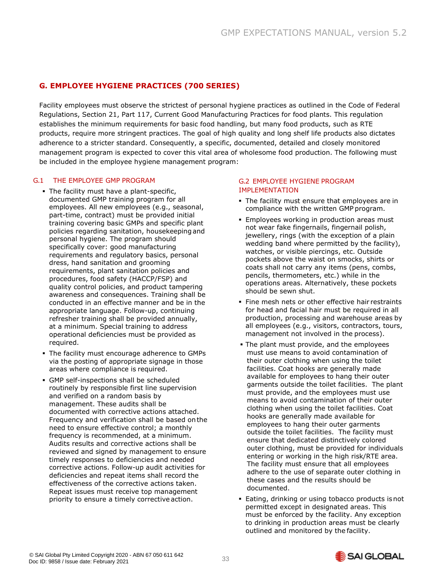# <span id="page-33-0"></span>**G. EMPLOYEE HYGIENE PRACTICES (700 SERIES)**

Facility employees must observe the strictest of personal hygiene practices as outlined in the Code of Federal Regulations, Section 21, Part 117, Current Good Manufacturing Practices for food plants. This regulation establishes the minimum requirements for basic food handling, but many food products, such as RTE products, require more stringent practices. The goal of high quality and long shelf life products also dictates adherence to a stricter standard. Consequently, a specific, documented, detailed and closely monitored management program is expected to cover this vital area of wholesome food production. The following must be included in the employee hygiene management program:

#### G.1 THE EMPLOYEE GMP PROGRAM

- **The facility must have a plant-specific,** documented GMP training program for all employees. All new employees (e.g., seasonal, part-time, contract) must be provided initial training covering basic GMPs and specific plant policies regarding sanitation, housekeeping and personal hygiene. The program should specifically cover: good manufacturing requirements and regulatory basics, personal dress, hand sanitation and grooming requirements, plant sanitation policies and procedures, food safety (HACCP/FSP) and quality control policies, and product tampering awareness and consequences. Training shall be conducted in an effective manner and be in the appropriate language. Follow-up, continuing refresher training shall be provided annually, at a minimum. Special training to address operational deficiencies must be provided as required.
- **The facility must encourage adherence to GMPs** via the posting of appropriate signage in those areas where compliance is required.
- GMP self-inspections shall be scheduled routinely by responsible first line supervision and verified on a random basis by management. These audits shall be documented with corrective actions attached. Frequency and verification shall be based onthe need to ensure effective control; a monthly frequency is recommended, at a minimum. Audits results and corrective actions shall be reviewed and signed by management to ensure timely responses to deficiencies and needed corrective actions. Follow-up audit activities for deficiencies and repeat items shall record the effectiveness of the corrective actions taken. Repeat issues must receive top management priority to ensure a timely corrective action.

#### G.2 EMPLOYEE HYGIENE PROGRAM **IMPLEMENTATION**

- **•** The facility must ensure that employees are in compliance with the written GMP program.
- **Employees working in production areas must** not wear fake fingernails, fingernail polish, jewellery, rings (with the exception of a plain wedding band where permitted by the facility), watches, or visible piercings, etc. Outside pockets above the waist on smocks, shirts or coats shall not carry any items (pens, combs, pencils, thermometers, etc.) while in the operations areas. Alternatively, these pockets should be sewn shut.
- **Fine mesh nets or other effective hair restraints** for head and facial hair must be required in all production, processing and warehouse areas by all employees (e.g., visitors, contractors, tours, management not involved in the process).
- **.** The plant must provide, and the employees must use means to avoid contamination of their outer clothing when using the toilet facilities. Coat hooks are generally made available for employees to hang their outer garments outside the toilet facilities. The plant must provide, and the employees must use means to avoid contamination of their outer clothing when using the toilet facilities. Coat hooks are generally made available for employees to hang their outer garments outside the toilet facilities. The facility must ensure that dedicated distinctively colored outer clothing, must be provided for individuals entering or working in the high risk/RTE area. The facility must ensure that all employees adhere to the use of separate outer clothing in these cases and the results should be documented.
- **Eating, drinking or using tobacco products isnot** permitted except in designated areas. This must be enforced by the facility. Any exception to drinking in production areas must be clearly outlined and monitored by the facility.

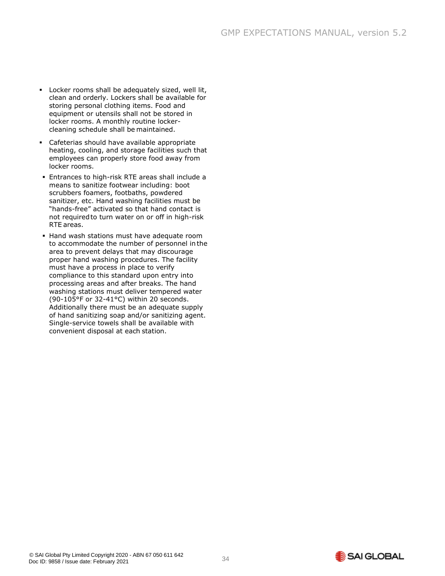- Locker rooms shall be adequately sized, well lit, clean and orderly. Lockers shall be available for storing personal clothing items. Food and equipment or utensils shall not be stored in locker rooms. A monthly routine lockercleaning schedule shall be maintained.
- Cafeterias should have available appropriate heating, cooling, and storage facilities such that employees can properly store food away from locker rooms.
- **Entrances to high-risk RTE areas shall include a** means to sanitize footwear including: boot scrubbers foamers, footbaths, powdered sanitizer, etc. Hand washing facilities must be "hands-free" activated so that hand contact is not requiredto turn water on or off in high-risk RTE areas.
- **.** Hand wash stations must have adequate room to accommodate the number of personnel in the area to prevent delays that may discourage proper hand washing procedures. The facility must have a process in place to verify compliance to this standard upon entry into processing areas and after breaks. The hand washing stations must deliver tempered water (90-105°F or 32-41°C) within 20 seconds. Additionally there must be an adequate supply of hand sanitizing soap and/or sanitizing agent. Single-service towels shall be available with convenient disposal at each station.

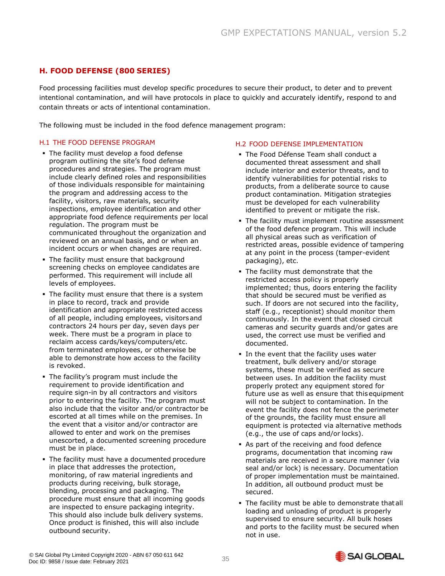# <span id="page-35-0"></span>**H. FOOD DEFENSE (800 SERIES)**

Food processing facilities must develop specific procedures to secure their product, to deter and to prevent intentional contamination, and will have protocols in place to quickly and accurately identify, respond to and contain threats or acts of intentional contamination.

The following must be included in the food defence management program:

#### H.1 THE FOOD DEFENSE PROGRAM

- The facility must develop a food defense program outlining the site's food defense procedures and strategies. The program must include clearly defined roles and responsibilities of those individuals responsible for maintaining the program and addressing access to the facility, visitors, raw materials, security inspections, employee identification and other appropriate food defence requirements per local regulation. The program must be communicated throughout the organization and reviewed on an annual basis, and or when an incident occurs or when changes are required.
- **.** The facility must ensure that background screening checks on employee candidates are performed. This requirement will include all levels of employees.
- **•** The facility must ensure that there is a system in place to record, track and provide identification and appropriate restricted access of all people, including employees, visitorsand contractors 24 hours per day, seven days per week. There must be a program in place to reclaim access cards/keys/computers/etc. from terminated employees, or otherwise be able to demonstrate how access to the facility is revoked.
- **The facility's program must include the** requirement to provide identification and require sign-in by all contractors and visitors prior to entering the facility. The program must also include that the visitor and/or contractor be escorted at all times while on the premises. In the event that a visitor and/or contractor are allowed to enter and work on the premises unescorted, a documented screening procedure must be in place.
- **The facility must have a documented procedure** in place that addresses the protection, monitoring, of raw material ingredients and products during receiving, bulk storage, blending, processing and packaging. The procedure must ensure that all incoming goods are inspected to ensure packaging integrity. This should also include bulk delivery systems. Once product is finished, this will also include outbound security.

#### H.2 FOOD DEFENSE IMPLEMENTATION

- The Food Défense Team shall conduct a documented threat assessment and shall include interior and exterior threats, and to identify vulnerabilities for potential risks to products, from a deliberate source to cause product contamination. Mitigation strategies must be developed for each vulnerability identified to prevent or mitigate the risk.
- **The facility must implement routine assessment** of the food defence program. This will include all physical areas such as verification of restricted areas, possible evidence of tampering at any point in the process (tamper-evident packaging), etc.
- **· The facility must demonstrate that the** restricted access policy is properly implemented; thus, doors entering the facility that should be secured must be verified as such. If doors are not secured into the facility, staff (e.g., receptionist) should monitor them continuously. In the event that closed circuit cameras and security guards and/or gates are used, the correct use must be verified and documented.
- **.** In the event that the facility uses water treatment, bulk delivery and/or storage systems, these must be verified as secure between uses. In addition the facility must properly protect any equipment stored for future use as well as ensure that this equipment will not be subject to contamination. In the event the facility does not fence the perimeter of the grounds, the facility must ensure all equipment is protected via alternative methods (e.g., the use of caps and/or locks).
- As part of the receiving and food defence programs, documentation that incoming raw materials are received in a secure manner (via seal and/or lock) is necessary. Documentation of proper implementation must be maintained. In addition, all outbound product must be secured.
- **.** The facility must be able to demonstrate that all loading and unloading of product is properly supervised to ensure security. All bulk hoses and ports to the facility must be secured when not in use.

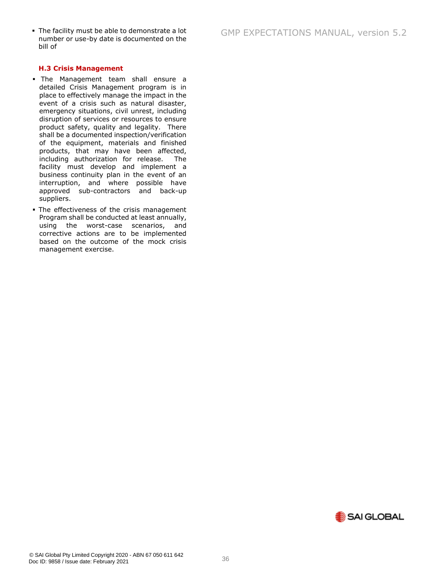#### **H.3 Crisis Management**

- The Management team shall ensure a detailed Crisis Management program is in place to effectively manage the impact in the event of a crisis such as natural disaster, emergency situations, civil unrest, including disruption of services or resources to ensure product safety, quality and legality. There shall be a documented inspection/verification of the equipment, materials and finished products, that may have been affected, including authorization for release. The facility must develop and implement a business continuity plan in the event of an interruption, and where possible have approved sub-contractors and back-up suppliers.
- **The effectiveness of the crisis management** Program shall be conducted at least annually, using the worst-case scenarios, and corrective actions are to be implemented based on the outcome of the mock crisis management exercise.

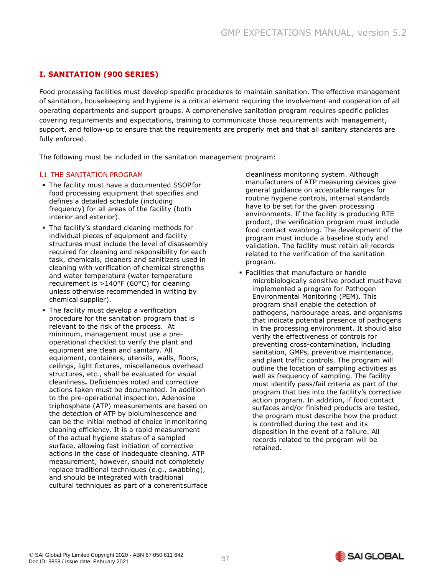# <span id="page-37-0"></span>**I. SANITATION (900 SERIES)**

Food processing facilities must develop specific procedures to maintain sanitation. The effective management of sanitation, housekeeping and hygiene is a critical element requiring the involvement and cooperation of all operating departments and support groups. A comprehensive sanitation program requires specific policies covering requirements and expectations, training to communicate those requirements with management, support, and follow-up to ensure that the requirements are properly met and that all sanitary standards are fully enforced.

The following must be included in the sanitation management program:

#### I.1 THE SANITATION PROGRAM

- **The facility must have a documented SSOPfor** food processing equipment that specifies and defines a detailed schedule (including frequency) for all areas of the facility (both interior and exterior).
- **The facility's standard cleaning methods for** individual pieces of equipment and facility structures must include the level of disassembly required for cleaning and responsibility for each task, chemicals, cleaners and sanitizers used in cleaning with verification of chemical strengths and water temperature (water temperature requirement is >140°F (60°C) for cleaning unless otherwise recommended in writing by chemical supplier).
- **•** The facility must develop a verification procedure for the sanitation program that is relevant to the risk of the process. At minimum, management must use a preoperational checklist to verify the plant and equipment are clean and sanitary. All equipment, containers, utensils, walls, floors, ceilings, light fixtures, miscellaneous overhead structures, etc., shall be evaluated for visual cleanliness**.** Deficiencies noted and corrective actions taken must be documented. In addition to the pre-operational inspection, Adenosine triphosphate (ATP) measurements are based on the detection of ATP by bioluminescence and can be the initial method of choice inmonitoring cleaning efficiency. It is a rapid measurement of the actual hygiene status of a sampled surface, allowing fast initiation of corrective actions in the case of inadequate cleaning. ATP measurement, however, should not completely replace traditional techniques (e.g., swabbing), and should be integrated with traditional cultural techniques as part of a coherent surface

cleanliness monitoring system. Although manufacturers of ATP measuring devices give general guidance on acceptable ranges for routine hygiene controls, internal standards have to be set for the given processing environments. If the facility is producing RTE product, the verification program must include food contact swabbing. The development of the program must include a baseline study and validation. The facility must retain all records related to the verification of the sanitation program.

▪ Facilities that manufacture or handle microbiologically sensitive product must have implemented a program for Pathogen Environmental Monitoring (PEM). This program shall enable the detection of pathogens, harbourage areas, and organisms that indicate potential presence of pathogens in the processing environment. It should also verify the effectiveness of controls for preventing cross-contamination, including sanitation, GMPs, preventive maintenance, and plant traffic controls. The program will outline the location of sampling activities as well as frequency of sampling. The facility must identify pass/fail criteria as part of the program that ties into the facility's corrective action program. In addition, if food contact surfaces and/or finished products are tested, the program must describe how the product is controlled during the test and its disposition in the event of a failure. All records related to the program will be retained.

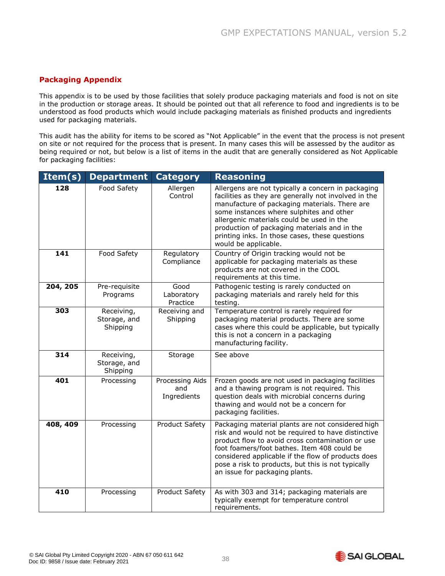# <span id="page-38-0"></span>**Packaging Appendix**

This appendix is to be used by those facilities that solely produce packaging materials and food is not on site in the production or storage areas. It should be pointed out that all reference to food and ingredients is to be understood as food products which would include packaging materials as finished products and ingredients used for packaging materials.

This audit has the ability for items to be scored as "Not Applicable" in the event that the process is not present on site or not required for the process that is present. In many cases this will be assessed by the auditor as being required or not, but below is a list of items in the audit that are generally considered as Not Applicable for packaging facilities:

| Item(s)  | <b>Department</b>                      | <b>Category</b>                       | <b>Reasoning</b>                                                                                                                                                                                                                                                                                                                                                               |
|----------|----------------------------------------|---------------------------------------|--------------------------------------------------------------------------------------------------------------------------------------------------------------------------------------------------------------------------------------------------------------------------------------------------------------------------------------------------------------------------------|
| 128      | Food Safety                            | Allergen<br>Control                   | Allergens are not typically a concern in packaging<br>facilities as they are generally not involved in the<br>manufacture of packaging materials. There are<br>some instances where sulphites and other<br>allergenic materials could be used in the<br>production of packaging materials and in the<br>printing inks. In those cases, these questions<br>would be applicable. |
| 141      | Food Safety                            | Regulatory<br>Compliance              | Country of Origin tracking would not be<br>applicable for packaging materials as these<br>products are not covered in the COOL<br>requirements at this time.                                                                                                                                                                                                                   |
| 204, 205 | Pre-requisite<br>Programs              | Good<br>Laboratory<br>Practice        | Pathogenic testing is rarely conducted on<br>packaging materials and rarely held for this<br>testing.                                                                                                                                                                                                                                                                          |
| 303      | Receiving,<br>Storage, and<br>Shipping | Receiving and<br>Shipping             | Temperature control is rarely required for<br>packaging material products. There are some<br>cases where this could be applicable, but typically<br>this is not a concern in a packaging<br>manufacturing facility.                                                                                                                                                            |
| 314      | Receiving,<br>Storage, and<br>Shipping | Storage                               | See above                                                                                                                                                                                                                                                                                                                                                                      |
| 401      | Processing                             | Processing Aids<br>and<br>Ingredients | Frozen goods are not used in packaging facilities<br>and a thawing program is not required. This<br>question deals with microbial concerns during<br>thawing and would not be a concern for<br>packaging facilities.                                                                                                                                                           |
| 408, 409 | Processing                             | Product Safety                        | Packaging material plants are not considered high<br>risk and would not be required to have distinctive<br>product flow to avoid cross contamination or use<br>foot foamers/foot bathes. Item 408 could be<br>considered applicable if the flow of products does<br>pose a risk to products, but this is not typically<br>an issue for packaging plants.                       |
| 410      | Processing                             | Product Safety                        | As with 303 and 314; packaging materials are<br>typically exempt for temperature control<br>requirements.                                                                                                                                                                                                                                                                      |

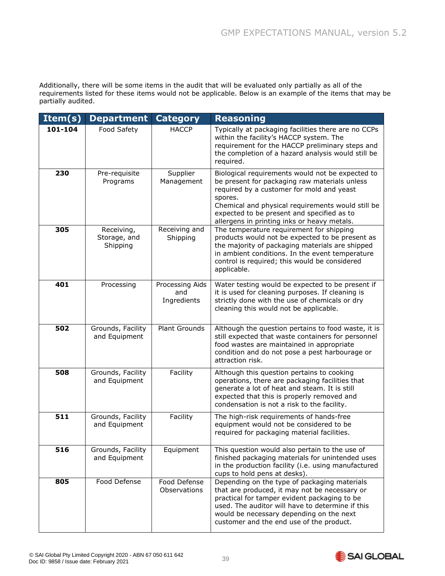Additionally, there will be some items in the audit that will be evaluated only partially as all of the requirements listed for these items would not be applicable. Below is an example of the items that may be partially audited.

| Item(s) | <b>Department</b>                      | <b>Category</b>                       | <b>Reasoning</b>                                                                                                                                                                                                                                                                                            |
|---------|----------------------------------------|---------------------------------------|-------------------------------------------------------------------------------------------------------------------------------------------------------------------------------------------------------------------------------------------------------------------------------------------------------------|
| 101-104 | Food Safety                            | <b>HACCP</b>                          | Typically at packaging facilities there are no CCPs<br>within the facility's HACCP system. The<br>requirement for the HACCP preliminary steps and<br>the completion of a hazard analysis would still be<br>required.                                                                                        |
| 230     | Pre-requisite<br>Programs              | Supplier<br>Management                | Biological requirements would not be expected to<br>be present for packaging raw materials unless<br>required by a customer for mold and yeast<br>spores.<br>Chemical and physical requirements would still be<br>expected to be present and specified as to<br>allergens in printing inks or heavy metals. |
| 305     | Receiving,<br>Storage, and<br>Shipping | Receiving and<br>Shipping             | The temperature requirement for shipping<br>products would not be expected to be present as<br>the majority of packaging materials are shipped<br>in ambient conditions. In the event temperature<br>control is required; this would be considered<br>applicable.                                           |
| 401     | Processing                             | Processing Aids<br>and<br>Ingredients | Water testing would be expected to be present if<br>it is used for cleaning purposes. If cleaning is<br>strictly done with the use of chemicals or dry<br>cleaning this would not be applicable.                                                                                                            |
| 502     | Grounds, Facility<br>and Equipment     | <b>Plant Grounds</b>                  | Although the question pertains to food waste, it is<br>still expected that waste containers for personnel<br>food wastes are maintained in appropriate<br>condition and do not pose a pest harbourage or<br>attraction risk.                                                                                |
| 508     | Grounds, Facility<br>and Equipment     | Facility                              | Although this question pertains to cooking<br>operations, there are packaging facilities that<br>generate a lot of heat and steam. It is still<br>expected that this is properly removed and<br>condensation is not a risk to the facility.                                                                 |
| 511     | Grounds, Facility<br>and Equipment     | Facility                              | The high-risk requirements of hands-free<br>equipment would not be considered to be<br>required for packaging material facilities.                                                                                                                                                                          |
| 516     | Grounds, Facility<br>and Equipment     | Equipment                             | This question would also pertain to the use of<br>finished packaging materials for unintended uses<br>in the production facility (i.e. using manufactured<br>cups to hold pens at desks).                                                                                                                   |
| 805     | Food Defense                           | Food Defense<br>Observations          | Depending on the type of packaging materials<br>that are produced, it may not be necessary or<br>practical for tamper evident packaging to be<br>used. The auditor will have to determine if this<br>would be necessary depending on the next<br>customer and the end use of the product.                   |

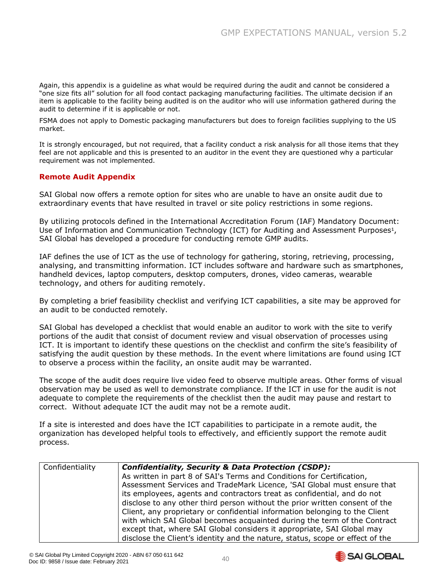Again, this appendix is a guideline as what would be required during the audit and cannot be considered a "one size fits all" solution for all food contact packaging manufacturing facilities. The ultimate decision if an item is applicable to the facility being audited is on the auditor who will use information gathered during the audit to determine if it is applicable or not.

FSMA does not apply to Domestic packaging manufacturers but does to foreign facilities supplying to the US market.

It is strongly encouraged, but not required, that a facility conduct a risk analysis for all those items that they feel are not applicable and this is presented to an auditor in the event they are questioned why a particular requirement was not implemented.

# **Remote Audit Appendix**

SAI Global now offers a remote option for sites who are unable to have an onsite audit due to extraordinary events that have resulted in travel or site policy restrictions in some regions.

By utilizing protocols defined in the International Accreditation Forum (IAF) Mandatory Document: Use of Information and Communication Technology (ICT) for Auditing and Assessment Purposes<sup>1</sup>, SAI Global has developed a procedure for conducting remote GMP audits.

IAF defines the use of ICT as the use of technology for gathering, storing, retrieving, processing, analysing, and transmitting information. ICT includes software and hardware such as smartphones, handheld devices, laptop computers, desktop computers, drones, video cameras, wearable technology, and others for auditing remotely.

By completing a brief feasibility checklist and verifying ICT capabilities, a site may be approved for an audit to be conducted remotely.

SAI Global has developed a checklist that would enable an auditor to work with the site to verify portions of the audit that consist of document review and visual observation of processes using ICT. It is important to identify these questions on the checklist and confirm the site's feasibility of satisfying the audit question by these methods. In the event where limitations are found using ICT to observe a process within the facility, an onsite audit may be warranted.

The scope of the audit does require live video feed to observe multiple areas. Other forms of visual observation may be used as well to demonstrate compliance. If the ICT in use for the audit is not adequate to complete the requirements of the checklist then the audit may pause and restart to correct. Without adequate ICT the audit may not be a remote audit.

If a site is interested and does have the ICT capabilities to participate in a remote audit, the organization has developed helpful tools to effectively, and efficiently support the remote audit process.

| Confidentiality | Confidentiality, Security & Data Protection (CSDP):                           |
|-----------------|-------------------------------------------------------------------------------|
|                 | As written in part 8 of SAI's Terms and Conditions for Certification,         |
|                 | Assessment Services and TradeMark Licence, 'SAI Global must ensure that       |
|                 | its employees, agents and contractors treat as confidential, and do not       |
|                 | disclose to any other third person without the prior written consent of the   |
|                 | Client, any proprietary or confidential information belonging to the Client   |
|                 | with which SAI Global becomes acquainted during the term of the Contract      |
|                 | except that, where SAI Global considers it appropriate, SAI Global may        |
|                 | disclose the Client's identity and the nature, status, scope or effect of the |

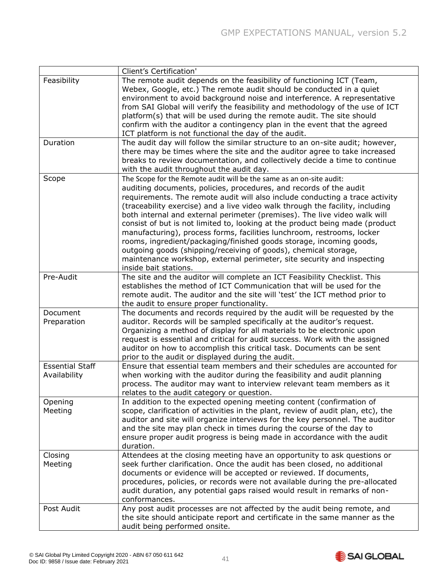|                                        | Client's Certification'                                                                                                                                                                                                                                                                                                                                                                                                                                                                                                                                                                                                                                                                                                                                                                         |
|----------------------------------------|-------------------------------------------------------------------------------------------------------------------------------------------------------------------------------------------------------------------------------------------------------------------------------------------------------------------------------------------------------------------------------------------------------------------------------------------------------------------------------------------------------------------------------------------------------------------------------------------------------------------------------------------------------------------------------------------------------------------------------------------------------------------------------------------------|
| Feasibility                            | The remote audit depends on the feasibility of functioning ICT (Team,<br>Webex, Google, etc.) The remote audit should be conducted in a quiet<br>environment to avoid background noise and interference. A representative<br>from SAI Global will verify the feasibility and methodology of the use of ICT<br>platform(s) that will be used during the remote audit. The site should<br>confirm with the auditor a contingency plan in the event that the agreed<br>ICT platform is not functional the day of the audit.                                                                                                                                                                                                                                                                        |
| Duration                               | The audit day will follow the similar structure to an on-site audit; however,<br>there may be times where the site and the auditor agree to take increased<br>breaks to review documentation, and collectively decide a time to continue<br>with the audit throughout the audit day.                                                                                                                                                                                                                                                                                                                                                                                                                                                                                                            |
| Scope                                  | The Scope for the Remote audit will be the same as an on-site audit:<br>auditing documents, policies, procedures, and records of the audit<br>requirements. The remote audit will also include conducting a trace activity<br>(traceability exercise) and a live video walk through the facility, including<br>both internal and external perimeter (premises). The live video walk will<br>consist of but is not limited to, looking at the product being made (product<br>manufacturing), process forms, facilities lunchroom, restrooms, locker<br>rooms, ingredient/packaging/finished goods storage, incoming goods,<br>outgoing goods (shipping/receiving of goods), chemical storage,<br>maintenance workshop, external perimeter, site security and inspecting<br>inside bait stations. |
| Pre-Audit                              | The site and the auditor will complete an ICT Feasibility Checklist. This<br>establishes the method of ICT Communication that will be used for the<br>remote audit. The auditor and the site will 'test' the ICT method prior to<br>the audit to ensure proper functionality.                                                                                                                                                                                                                                                                                                                                                                                                                                                                                                                   |
| Document<br>Preparation                | The documents and records required by the audit will be requested by the<br>auditor. Records will be sampled specifically at the auditor's request.<br>Organizing a method of display for all materials to be electronic upon<br>request is essential and critical for audit success. Work with the assigned<br>auditor on how to accomplish this critical task. Documents can be sent<br>prior to the audit or displayed during the audit.                                                                                                                                                                                                                                                                                                                                                     |
| <b>Essential Staff</b><br>Availability | Ensure that essential team members and their schedules are accounted for<br>when working with the auditor during the feasibility and audit planning<br>process. The auditor may want to interview relevant team members as it<br>relates to the audit category or question.                                                                                                                                                                                                                                                                                                                                                                                                                                                                                                                     |
| Opening<br>Meeting                     | In addition to the expected opening meeting content (confirmation of<br>scope, clarification of activities in the plant, review of audit plan, etc), the<br>auditor and site will organize interviews for the key personnel. The auditor<br>and the site may plan check in times during the course of the day to<br>ensure proper audit progress is being made in accordance with the audit<br>duration.                                                                                                                                                                                                                                                                                                                                                                                        |
| Closing<br>Meeting                     | Attendees at the closing meeting have an opportunity to ask questions or<br>seek further clarification. Once the audit has been closed, no additional<br>documents or evidence will be accepted or reviewed. If documents,<br>procedures, policies, or records were not available during the pre-allocated<br>audit duration, any potential gaps raised would result in remarks of non-<br>conformances.                                                                                                                                                                                                                                                                                                                                                                                        |
| Post Audit                             | Any post audit processes are not affected by the audit being remote, and<br>the site should anticipate report and certificate in the same manner as the<br>audit being performed onsite.                                                                                                                                                                                                                                                                                                                                                                                                                                                                                                                                                                                                        |